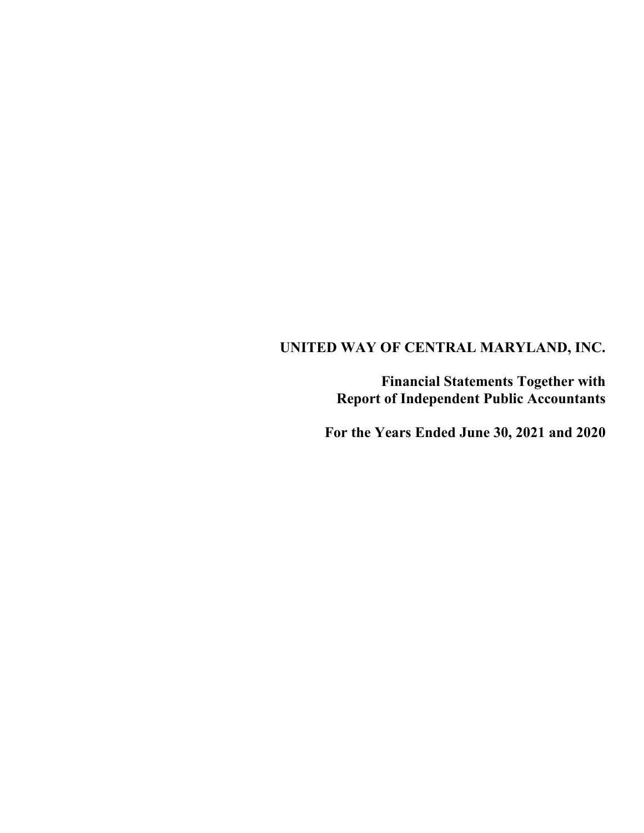**Financial Statements Together with Report of Independent Public Accountants**

**For the Years Ended June 30, 2021 and 2020**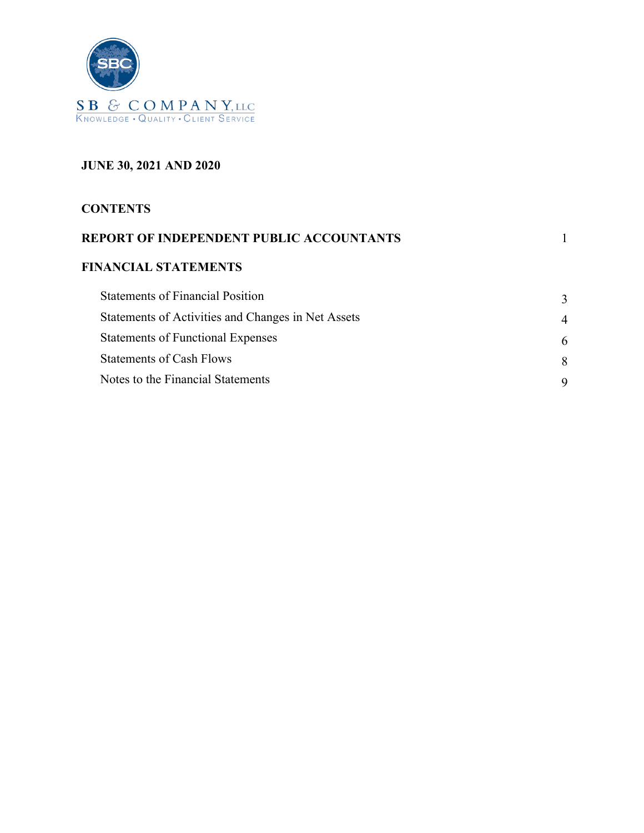

# **JUNE 30, 2021 AND 2020**

# **CONTENTS**

| <b>REPORT OF INDEPENDENT PUBLIC ACCOUNTANTS</b>    |                |  |  |  |  |
|----------------------------------------------------|----------------|--|--|--|--|
| <b>FINANCIAL STATEMENTS</b>                        |                |  |  |  |  |
| <b>Statements of Financial Position</b>            | 3              |  |  |  |  |
| Statements of Activities and Changes in Net Assets | $\overline{4}$ |  |  |  |  |
| <b>Statements of Functional Expenses</b>           | -6             |  |  |  |  |
| Statements of Cash Flows                           | 8              |  |  |  |  |

Notes to the Financial Statements 9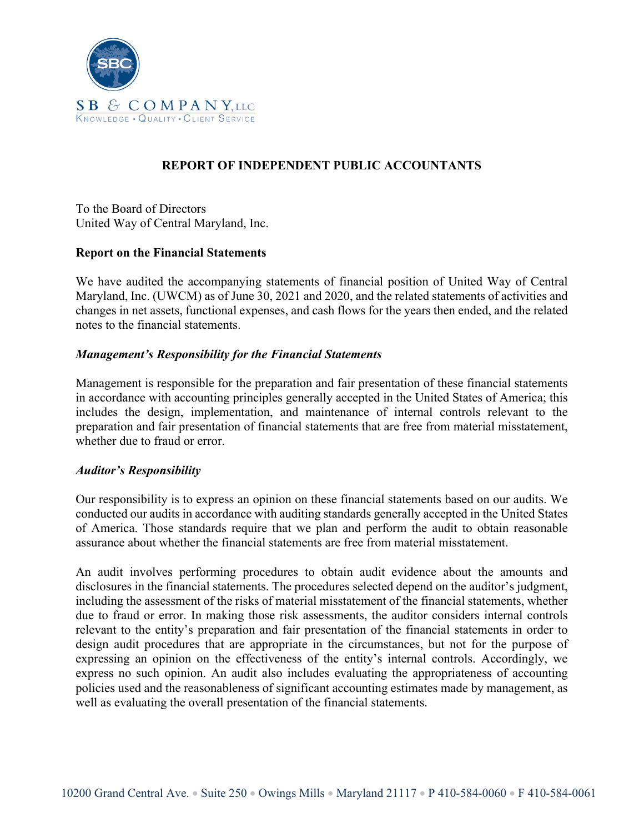

# **REPORT OF INDEPENDENT PUBLIC ACCOUNTANTS**

To the Board of Directors United Way of Central Maryland, Inc.

### **Report on the Financial Statements**

We have audited the accompanying statements of financial position of United Way of Central Maryland, Inc. (UWCM) as of June 30, 2021 and 2020, and the related statements of activities and changes in net assets, functional expenses, and cash flows for the years then ended, and the related notes to the financial statements.

# *Management's Responsibility for the Financial Statements*

Management is responsible for the preparation and fair presentation of these financial statements in accordance with accounting principles generally accepted in the United States of America; this includes the design, implementation, and maintenance of internal controls relevant to the preparation and fair presentation of financial statements that are free from material misstatement, whether due to fraud or error.

### *Auditor's Responsibility*

Our responsibility is to express an opinion on these financial statements based on our audits. We conducted our audits in accordance with auditing standards generally accepted in the United States of America. Those standards require that we plan and perform the audit to obtain reasonable assurance about whether the financial statements are free from material misstatement.

An audit involves performing procedures to obtain audit evidence about the amounts and disclosures in the financial statements. The procedures selected depend on the auditor's judgment, including the assessment of the risks of material misstatement of the financial statements, whether due to fraud or error. In making those risk assessments, the auditor considers internal controls relevant to the entity's preparation and fair presentation of the financial statements in order to design audit procedures that are appropriate in the circumstances, but not for the purpose of expressing an opinion on the effectiveness of the entity's internal controls. Accordingly, we express no such opinion. An audit also includes evaluating the appropriateness of accounting policies used and the reasonableness of significant accounting estimates made by management, as well as evaluating the overall presentation of the financial statements.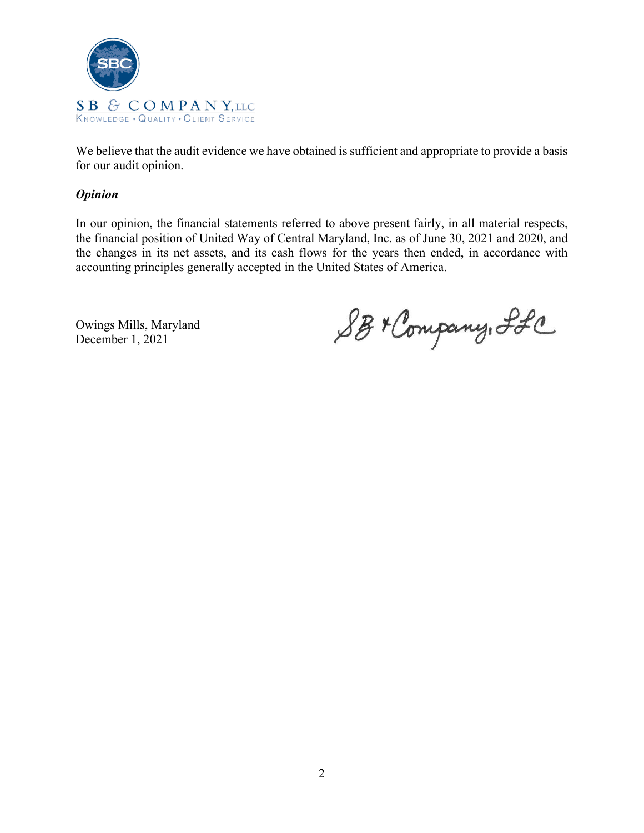

We believe that the audit evidence we have obtained is sufficient and appropriate to provide a basis for our audit opinion.

# *Opinion*

In our opinion, the financial statements referred to above present fairly, in all material respects, the financial position of United Way of Central Maryland, Inc. as of June 30, 2021 and 2020, and the changes in its net assets, and its cash flows for the years then ended, in accordance with accounting principles generally accepted in the United States of America.

Owings Mills, Maryland December 1, 2021

SB+ Company, SLC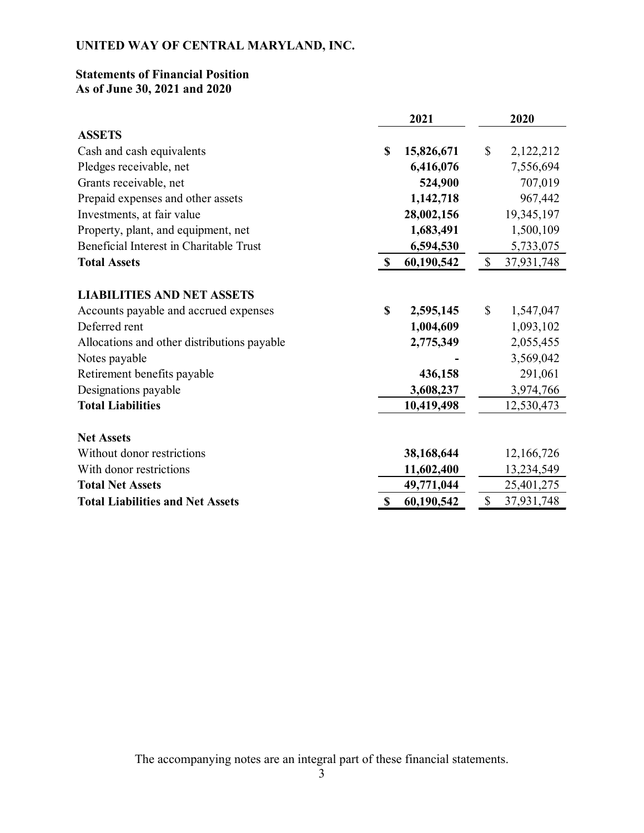# **Statements of Financial Position As of June 30, 2021 and 2020**

|                                                                                                                                                                                                                                                | 2021                                                                            | 2020                                                                                         |
|------------------------------------------------------------------------------------------------------------------------------------------------------------------------------------------------------------------------------------------------|---------------------------------------------------------------------------------|----------------------------------------------------------------------------------------------|
| <b>ASSETS</b>                                                                                                                                                                                                                                  |                                                                                 |                                                                                              |
| Cash and cash equivalents                                                                                                                                                                                                                      | \$<br>15,826,671                                                                | \$<br>2,122,212                                                                              |
| Pledges receivable, net                                                                                                                                                                                                                        | 6,416,076                                                                       | 7,556,694                                                                                    |
| Grants receivable, net                                                                                                                                                                                                                         | 524,900                                                                         | 707,019                                                                                      |
| Prepaid expenses and other assets                                                                                                                                                                                                              | 1,142,718                                                                       | 967,442                                                                                      |
| Investments, at fair value                                                                                                                                                                                                                     | 28,002,156                                                                      | 19,345,197                                                                                   |
| Property, plant, and equipment, net                                                                                                                                                                                                            | 1,683,491                                                                       | 1,500,109                                                                                    |
| Beneficial Interest in Charitable Trust                                                                                                                                                                                                        | 6,594,530                                                                       | 5,733,075                                                                                    |
| <b>Total Assets</b>                                                                                                                                                                                                                            | $\mathbf{\$}$<br>60,190,542                                                     | $\boldsymbol{\mathsf{S}}$<br>37,931,748                                                      |
| <b>LIABILITIES AND NET ASSETS</b><br>Accounts payable and accrued expenses<br>Deferred rent<br>Allocations and other distributions payable<br>Notes payable<br>Retirement benefits payable<br>Designations payable<br><b>Total Liabilities</b> | \$<br>2,595,145<br>1,004,609<br>2,775,349<br>436,158<br>3,608,237<br>10,419,498 | \$<br>1,547,047<br>1,093,102<br>2,055,455<br>3,569,042<br>291,061<br>3,974,766<br>12,530,473 |
| <b>Net Assets</b><br>Without donor restrictions<br>With donor restrictions<br><b>Total Net Assets</b><br><b>Total Liabilities and Net Assets</b>                                                                                               | 38,168,644<br>11,602,400<br>49,771,044<br>60,190,542<br>S                       | 12,166,726<br>13,234,549<br>25,401,275<br>$\mathcal{S}$<br>37,931,748                        |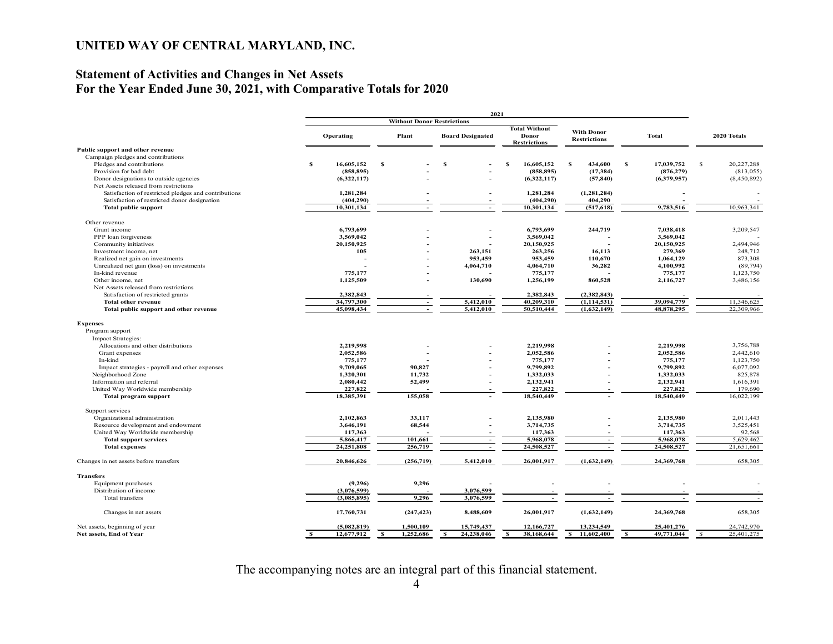# **Statement of Activities and Changes in Net Assets For the Year Ended June 30, 2021, with Comparative Totals for 2020**

| <b>Without Donor Restrictions</b><br><b>Total Without</b><br><b>With Donor</b><br>Plant<br><b>Board Designated</b><br><b>Total</b><br>2020 Totals<br>Operating<br>Donor<br><b>Restrictions</b><br><b>Restrictions</b><br>Public support and other revenue<br>Campaign pledges and contributions<br>s<br>16,605,152<br>16,605,152<br>434,600<br>17,039,752<br>20,227,288<br>Pledges and contributions<br>s<br>S<br>s<br>S<br>s<br>s<br>Provision for bad debt<br>(858, 895)<br>(858, 895)<br>(17, 384)<br>(876, 279)<br>(813, 055)<br>Donor designations to outside agencies<br>(57, 840)<br>(6,379,957)<br>(8,450,892)<br>(6,322,117)<br>(6,322,117)<br>Net Assets released from restrictions<br>1,281,284<br>1,281,284<br>(1, 281, 284)<br>Satisfaction of restricted pledges and contributions<br>404,290<br>Satisfaction of restricted donor designation<br>(404, 290)<br>(404, 290)<br>9,783,516<br>10,963,341<br>(517, 618)<br><b>Total public support</b><br>10,301,134<br>10,301,134<br>Other revenue<br>6,793,699<br>6,793,699<br>244,719<br>7,038,418<br>3,209,547<br>Grant income<br>3.569.042<br>PPP loan forgiveness<br>3.569.042<br>3,569,042<br>20,150,925<br>20,150,925<br>Community initiatives<br>20,150,925<br>2,494,946<br>105<br>263,151<br>263,256<br>16,113<br>279,369<br>248,712<br>Investment income, net<br>953,459<br>953,459<br>110,670<br>1,064,129<br>873,308<br>Realized net gain on investments<br>4,064,710<br>36,282<br>4,100,992<br>(89, 794)<br>Unrealized net gain (loss) on investments<br>4,064,710<br>In-kind revenue<br>775,177<br>775,177<br>775,177<br>1,123,750<br>1,125,509<br>130,690<br>1,256,199<br>860,528<br>2,116,727<br>3,486,156<br>Other income, net<br>Net Assets released from restrictions<br>Satisfaction of restricted grants<br>2,382,843<br>2,382,843<br>(2,382,843)<br>5,412,010<br>34,797,300<br>40,209,310<br>(1, 114, 531)<br>39,094,779<br>11,346,625<br>Total other revenue<br>$\overline{\phantom{a}}$<br>5,412,010<br>45,098,434<br>50,510,444<br>(1,632,149)<br>48,878,295<br>22,309,966<br>Total public support and other revenue<br><b>Expenses</b><br>Program support<br><b>Impact Strategies:</b><br>3.756.788<br>Allocations and other distributions<br>2.219.998<br>2.219.998<br>2.219.998<br>2,052,586<br>Grant expenses<br>2,052,586<br>2,052,586<br>2,442,610<br>In-kind<br>775,177<br>775,177<br>775,177<br>1,123,750<br>9,709,065<br>9,799,892<br>9,799,892<br>6,077,092<br>Impact strategies - payroll and other expenses<br>90,827<br>Neighborhood Zone<br>1,320,301<br>11,732<br>1,332,033<br>1,332,033<br>825,878<br>2,080,442<br>52,499<br>2,132,941<br>2,132,941<br>1,616,391<br>Information and referral<br>United Way Worldwide membership<br>227,822<br>227,822<br>227,822<br>179,690<br><b>Total program support</b><br>18,385,391<br>155,058<br>18,540,449<br>18,540,449<br>16,022,199<br>Support services<br>2,102,863<br>33,117<br>2,135,980<br>2,135,980<br>2,011,443<br>Organizational administration<br>Resource development and endowment<br>3,646,191<br>68,544<br>3,714,735<br>3,714,735<br>3,525,451<br>92,568<br>United Way Worldwide membership<br>117,363<br>117,363<br>117,363<br>101,661<br>5,968,078<br>5,629,462<br>5,968,078<br><b>Total support services</b><br>5,866,417<br>24,251,808<br>256,719<br>24,508,527<br>24,508,527<br>21,651,661<br><b>Total expenses</b><br>(256, 719)<br>5,412,010<br>26,001,917<br>(1,632,149)<br>658,305<br>Changes in net assets before transfers<br>20,846,626<br>24,369,768<br><b>Transfers</b><br>Equipment purchases<br>(9,296)<br>9,296<br>Distribution of income<br>(3,076,599)<br>3,076,599<br>9,296<br>3,076,599<br>Total transfers<br>(3,085,895)<br>26,001,917<br>(1,632,149)<br>24,369,768<br>658,305<br>Changes in net assets<br>17,760,731<br>(247, 423)<br>8,488,609<br>24,742,970<br>Net assets, beginning of year<br>(5,082,819)<br>1,500,109<br>15,749,437<br>12,166,727<br>13,234,549<br>25,401,276<br>24,238,046<br>25,401,275<br>Net assets, End of Year<br>s<br>12,677,912<br>s<br>1,252,686<br>s.<br>38,168,644<br>$\mathbf{s}$<br>11,602,400<br>s<br>49,771,044<br><sup>S</sup><br>-S | 2021 |  |  |  |  |  |  |  |  |  |  |  |  |  |
|------------------------------------------------------------------------------------------------------------------------------------------------------------------------------------------------------------------------------------------------------------------------------------------------------------------------------------------------------------------------------------------------------------------------------------------------------------------------------------------------------------------------------------------------------------------------------------------------------------------------------------------------------------------------------------------------------------------------------------------------------------------------------------------------------------------------------------------------------------------------------------------------------------------------------------------------------------------------------------------------------------------------------------------------------------------------------------------------------------------------------------------------------------------------------------------------------------------------------------------------------------------------------------------------------------------------------------------------------------------------------------------------------------------------------------------------------------------------------------------------------------------------------------------------------------------------------------------------------------------------------------------------------------------------------------------------------------------------------------------------------------------------------------------------------------------------------------------------------------------------------------------------------------------------------------------------------------------------------------------------------------------------------------------------------------------------------------------------------------------------------------------------------------------------------------------------------------------------------------------------------------------------------------------------------------------------------------------------------------------------------------------------------------------------------------------------------------------------------------------------------------------------------------------------------------------------------------------------------------------------------------------------------------------------------------------------------------------------------------------------------------------------------------------------------------------------------------------------------------------------------------------------------------------------------------------------------------------------------------------------------------------------------------------------------------------------------------------------------------------------------------------------------------------------------------------------------------------------------------------------------------------------------------------------------------------------------------------------------------------------------------------------------------------------------------------------------------------------------------------------------------------------------------------------------------------------------------------------------------------------------------------------------------------------------------------------------------------------------------------------------------------------------------------------------------------------------------------------------------------------------------------------------------------------------------------------------------------------------------------------------------------------------------------------------------------------------------------------------------------------------------------------------------|------|--|--|--|--|--|--|--|--|--|--|--|--|--|
|                                                                                                                                                                                                                                                                                                                                                                                                                                                                                                                                                                                                                                                                                                                                                                                                                                                                                                                                                                                                                                                                                                                                                                                                                                                                                                                                                                                                                                                                                                                                                                                                                                                                                                                                                                                                                                                                                                                                                                                                                                                                                                                                                                                                                                                                                                                                                                                                                                                                                                                                                                                                                                                                                                                                                                                                                                                                                                                                                                                                                                                                                                                                                                                                                                                                                                                                                                                                                                                                                                                                                                                                                                                                                                                                                                                                                                                                                                                                                                                                                                                                                                                                                            |      |  |  |  |  |  |  |  |  |  |  |  |  |  |
|                                                                                                                                                                                                                                                                                                                                                                                                                                                                                                                                                                                                                                                                                                                                                                                                                                                                                                                                                                                                                                                                                                                                                                                                                                                                                                                                                                                                                                                                                                                                                                                                                                                                                                                                                                                                                                                                                                                                                                                                                                                                                                                                                                                                                                                                                                                                                                                                                                                                                                                                                                                                                                                                                                                                                                                                                                                                                                                                                                                                                                                                                                                                                                                                                                                                                                                                                                                                                                                                                                                                                                                                                                                                                                                                                                                                                                                                                                                                                                                                                                                                                                                                                            |      |  |  |  |  |  |  |  |  |  |  |  |  |  |
|                                                                                                                                                                                                                                                                                                                                                                                                                                                                                                                                                                                                                                                                                                                                                                                                                                                                                                                                                                                                                                                                                                                                                                                                                                                                                                                                                                                                                                                                                                                                                                                                                                                                                                                                                                                                                                                                                                                                                                                                                                                                                                                                                                                                                                                                                                                                                                                                                                                                                                                                                                                                                                                                                                                                                                                                                                                                                                                                                                                                                                                                                                                                                                                                                                                                                                                                                                                                                                                                                                                                                                                                                                                                                                                                                                                                                                                                                                                                                                                                                                                                                                                                                            |      |  |  |  |  |  |  |  |  |  |  |  |  |  |
|                                                                                                                                                                                                                                                                                                                                                                                                                                                                                                                                                                                                                                                                                                                                                                                                                                                                                                                                                                                                                                                                                                                                                                                                                                                                                                                                                                                                                                                                                                                                                                                                                                                                                                                                                                                                                                                                                                                                                                                                                                                                                                                                                                                                                                                                                                                                                                                                                                                                                                                                                                                                                                                                                                                                                                                                                                                                                                                                                                                                                                                                                                                                                                                                                                                                                                                                                                                                                                                                                                                                                                                                                                                                                                                                                                                                                                                                                                                                                                                                                                                                                                                                                            |      |  |  |  |  |  |  |  |  |  |  |  |  |  |
|                                                                                                                                                                                                                                                                                                                                                                                                                                                                                                                                                                                                                                                                                                                                                                                                                                                                                                                                                                                                                                                                                                                                                                                                                                                                                                                                                                                                                                                                                                                                                                                                                                                                                                                                                                                                                                                                                                                                                                                                                                                                                                                                                                                                                                                                                                                                                                                                                                                                                                                                                                                                                                                                                                                                                                                                                                                                                                                                                                                                                                                                                                                                                                                                                                                                                                                                                                                                                                                                                                                                                                                                                                                                                                                                                                                                                                                                                                                                                                                                                                                                                                                                                            |      |  |  |  |  |  |  |  |  |  |  |  |  |  |
|                                                                                                                                                                                                                                                                                                                                                                                                                                                                                                                                                                                                                                                                                                                                                                                                                                                                                                                                                                                                                                                                                                                                                                                                                                                                                                                                                                                                                                                                                                                                                                                                                                                                                                                                                                                                                                                                                                                                                                                                                                                                                                                                                                                                                                                                                                                                                                                                                                                                                                                                                                                                                                                                                                                                                                                                                                                                                                                                                                                                                                                                                                                                                                                                                                                                                                                                                                                                                                                                                                                                                                                                                                                                                                                                                                                                                                                                                                                                                                                                                                                                                                                                                            |      |  |  |  |  |  |  |  |  |  |  |  |  |  |
|                                                                                                                                                                                                                                                                                                                                                                                                                                                                                                                                                                                                                                                                                                                                                                                                                                                                                                                                                                                                                                                                                                                                                                                                                                                                                                                                                                                                                                                                                                                                                                                                                                                                                                                                                                                                                                                                                                                                                                                                                                                                                                                                                                                                                                                                                                                                                                                                                                                                                                                                                                                                                                                                                                                                                                                                                                                                                                                                                                                                                                                                                                                                                                                                                                                                                                                                                                                                                                                                                                                                                                                                                                                                                                                                                                                                                                                                                                                                                                                                                                                                                                                                                            |      |  |  |  |  |  |  |  |  |  |  |  |  |  |
|                                                                                                                                                                                                                                                                                                                                                                                                                                                                                                                                                                                                                                                                                                                                                                                                                                                                                                                                                                                                                                                                                                                                                                                                                                                                                                                                                                                                                                                                                                                                                                                                                                                                                                                                                                                                                                                                                                                                                                                                                                                                                                                                                                                                                                                                                                                                                                                                                                                                                                                                                                                                                                                                                                                                                                                                                                                                                                                                                                                                                                                                                                                                                                                                                                                                                                                                                                                                                                                                                                                                                                                                                                                                                                                                                                                                                                                                                                                                                                                                                                                                                                                                                            |      |  |  |  |  |  |  |  |  |  |  |  |  |  |
|                                                                                                                                                                                                                                                                                                                                                                                                                                                                                                                                                                                                                                                                                                                                                                                                                                                                                                                                                                                                                                                                                                                                                                                                                                                                                                                                                                                                                                                                                                                                                                                                                                                                                                                                                                                                                                                                                                                                                                                                                                                                                                                                                                                                                                                                                                                                                                                                                                                                                                                                                                                                                                                                                                                                                                                                                                                                                                                                                                                                                                                                                                                                                                                                                                                                                                                                                                                                                                                                                                                                                                                                                                                                                                                                                                                                                                                                                                                                                                                                                                                                                                                                                            |      |  |  |  |  |  |  |  |  |  |  |  |  |  |
|                                                                                                                                                                                                                                                                                                                                                                                                                                                                                                                                                                                                                                                                                                                                                                                                                                                                                                                                                                                                                                                                                                                                                                                                                                                                                                                                                                                                                                                                                                                                                                                                                                                                                                                                                                                                                                                                                                                                                                                                                                                                                                                                                                                                                                                                                                                                                                                                                                                                                                                                                                                                                                                                                                                                                                                                                                                                                                                                                                                                                                                                                                                                                                                                                                                                                                                                                                                                                                                                                                                                                                                                                                                                                                                                                                                                                                                                                                                                                                                                                                                                                                                                                            |      |  |  |  |  |  |  |  |  |  |  |  |  |  |
|                                                                                                                                                                                                                                                                                                                                                                                                                                                                                                                                                                                                                                                                                                                                                                                                                                                                                                                                                                                                                                                                                                                                                                                                                                                                                                                                                                                                                                                                                                                                                                                                                                                                                                                                                                                                                                                                                                                                                                                                                                                                                                                                                                                                                                                                                                                                                                                                                                                                                                                                                                                                                                                                                                                                                                                                                                                                                                                                                                                                                                                                                                                                                                                                                                                                                                                                                                                                                                                                                                                                                                                                                                                                                                                                                                                                                                                                                                                                                                                                                                                                                                                                                            |      |  |  |  |  |  |  |  |  |  |  |  |  |  |
|                                                                                                                                                                                                                                                                                                                                                                                                                                                                                                                                                                                                                                                                                                                                                                                                                                                                                                                                                                                                                                                                                                                                                                                                                                                                                                                                                                                                                                                                                                                                                                                                                                                                                                                                                                                                                                                                                                                                                                                                                                                                                                                                                                                                                                                                                                                                                                                                                                                                                                                                                                                                                                                                                                                                                                                                                                                                                                                                                                                                                                                                                                                                                                                                                                                                                                                                                                                                                                                                                                                                                                                                                                                                                                                                                                                                                                                                                                                                                                                                                                                                                                                                                            |      |  |  |  |  |  |  |  |  |  |  |  |  |  |
|                                                                                                                                                                                                                                                                                                                                                                                                                                                                                                                                                                                                                                                                                                                                                                                                                                                                                                                                                                                                                                                                                                                                                                                                                                                                                                                                                                                                                                                                                                                                                                                                                                                                                                                                                                                                                                                                                                                                                                                                                                                                                                                                                                                                                                                                                                                                                                                                                                                                                                                                                                                                                                                                                                                                                                                                                                                                                                                                                                                                                                                                                                                                                                                                                                                                                                                                                                                                                                                                                                                                                                                                                                                                                                                                                                                                                                                                                                                                                                                                                                                                                                                                                            |      |  |  |  |  |  |  |  |  |  |  |  |  |  |
|                                                                                                                                                                                                                                                                                                                                                                                                                                                                                                                                                                                                                                                                                                                                                                                                                                                                                                                                                                                                                                                                                                                                                                                                                                                                                                                                                                                                                                                                                                                                                                                                                                                                                                                                                                                                                                                                                                                                                                                                                                                                                                                                                                                                                                                                                                                                                                                                                                                                                                                                                                                                                                                                                                                                                                                                                                                                                                                                                                                                                                                                                                                                                                                                                                                                                                                                                                                                                                                                                                                                                                                                                                                                                                                                                                                                                                                                                                                                                                                                                                                                                                                                                            |      |  |  |  |  |  |  |  |  |  |  |  |  |  |
|                                                                                                                                                                                                                                                                                                                                                                                                                                                                                                                                                                                                                                                                                                                                                                                                                                                                                                                                                                                                                                                                                                                                                                                                                                                                                                                                                                                                                                                                                                                                                                                                                                                                                                                                                                                                                                                                                                                                                                                                                                                                                                                                                                                                                                                                                                                                                                                                                                                                                                                                                                                                                                                                                                                                                                                                                                                                                                                                                                                                                                                                                                                                                                                                                                                                                                                                                                                                                                                                                                                                                                                                                                                                                                                                                                                                                                                                                                                                                                                                                                                                                                                                                            |      |  |  |  |  |  |  |  |  |  |  |  |  |  |
|                                                                                                                                                                                                                                                                                                                                                                                                                                                                                                                                                                                                                                                                                                                                                                                                                                                                                                                                                                                                                                                                                                                                                                                                                                                                                                                                                                                                                                                                                                                                                                                                                                                                                                                                                                                                                                                                                                                                                                                                                                                                                                                                                                                                                                                                                                                                                                                                                                                                                                                                                                                                                                                                                                                                                                                                                                                                                                                                                                                                                                                                                                                                                                                                                                                                                                                                                                                                                                                                                                                                                                                                                                                                                                                                                                                                                                                                                                                                                                                                                                                                                                                                                            |      |  |  |  |  |  |  |  |  |  |  |  |  |  |
|                                                                                                                                                                                                                                                                                                                                                                                                                                                                                                                                                                                                                                                                                                                                                                                                                                                                                                                                                                                                                                                                                                                                                                                                                                                                                                                                                                                                                                                                                                                                                                                                                                                                                                                                                                                                                                                                                                                                                                                                                                                                                                                                                                                                                                                                                                                                                                                                                                                                                                                                                                                                                                                                                                                                                                                                                                                                                                                                                                                                                                                                                                                                                                                                                                                                                                                                                                                                                                                                                                                                                                                                                                                                                                                                                                                                                                                                                                                                                                                                                                                                                                                                                            |      |  |  |  |  |  |  |  |  |  |  |  |  |  |
|                                                                                                                                                                                                                                                                                                                                                                                                                                                                                                                                                                                                                                                                                                                                                                                                                                                                                                                                                                                                                                                                                                                                                                                                                                                                                                                                                                                                                                                                                                                                                                                                                                                                                                                                                                                                                                                                                                                                                                                                                                                                                                                                                                                                                                                                                                                                                                                                                                                                                                                                                                                                                                                                                                                                                                                                                                                                                                                                                                                                                                                                                                                                                                                                                                                                                                                                                                                                                                                                                                                                                                                                                                                                                                                                                                                                                                                                                                                                                                                                                                                                                                                                                            |      |  |  |  |  |  |  |  |  |  |  |  |  |  |
|                                                                                                                                                                                                                                                                                                                                                                                                                                                                                                                                                                                                                                                                                                                                                                                                                                                                                                                                                                                                                                                                                                                                                                                                                                                                                                                                                                                                                                                                                                                                                                                                                                                                                                                                                                                                                                                                                                                                                                                                                                                                                                                                                                                                                                                                                                                                                                                                                                                                                                                                                                                                                                                                                                                                                                                                                                                                                                                                                                                                                                                                                                                                                                                                                                                                                                                                                                                                                                                                                                                                                                                                                                                                                                                                                                                                                                                                                                                                                                                                                                                                                                                                                            |      |  |  |  |  |  |  |  |  |  |  |  |  |  |
|                                                                                                                                                                                                                                                                                                                                                                                                                                                                                                                                                                                                                                                                                                                                                                                                                                                                                                                                                                                                                                                                                                                                                                                                                                                                                                                                                                                                                                                                                                                                                                                                                                                                                                                                                                                                                                                                                                                                                                                                                                                                                                                                                                                                                                                                                                                                                                                                                                                                                                                                                                                                                                                                                                                                                                                                                                                                                                                                                                                                                                                                                                                                                                                                                                                                                                                                                                                                                                                                                                                                                                                                                                                                                                                                                                                                                                                                                                                                                                                                                                                                                                                                                            |      |  |  |  |  |  |  |  |  |  |  |  |  |  |
|                                                                                                                                                                                                                                                                                                                                                                                                                                                                                                                                                                                                                                                                                                                                                                                                                                                                                                                                                                                                                                                                                                                                                                                                                                                                                                                                                                                                                                                                                                                                                                                                                                                                                                                                                                                                                                                                                                                                                                                                                                                                                                                                                                                                                                                                                                                                                                                                                                                                                                                                                                                                                                                                                                                                                                                                                                                                                                                                                                                                                                                                                                                                                                                                                                                                                                                                                                                                                                                                                                                                                                                                                                                                                                                                                                                                                                                                                                                                                                                                                                                                                                                                                            |      |  |  |  |  |  |  |  |  |  |  |  |  |  |
|                                                                                                                                                                                                                                                                                                                                                                                                                                                                                                                                                                                                                                                                                                                                                                                                                                                                                                                                                                                                                                                                                                                                                                                                                                                                                                                                                                                                                                                                                                                                                                                                                                                                                                                                                                                                                                                                                                                                                                                                                                                                                                                                                                                                                                                                                                                                                                                                                                                                                                                                                                                                                                                                                                                                                                                                                                                                                                                                                                                                                                                                                                                                                                                                                                                                                                                                                                                                                                                                                                                                                                                                                                                                                                                                                                                                                                                                                                                                                                                                                                                                                                                                                            |      |  |  |  |  |  |  |  |  |  |  |  |  |  |
|                                                                                                                                                                                                                                                                                                                                                                                                                                                                                                                                                                                                                                                                                                                                                                                                                                                                                                                                                                                                                                                                                                                                                                                                                                                                                                                                                                                                                                                                                                                                                                                                                                                                                                                                                                                                                                                                                                                                                                                                                                                                                                                                                                                                                                                                                                                                                                                                                                                                                                                                                                                                                                                                                                                                                                                                                                                                                                                                                                                                                                                                                                                                                                                                                                                                                                                                                                                                                                                                                                                                                                                                                                                                                                                                                                                                                                                                                                                                                                                                                                                                                                                                                            |      |  |  |  |  |  |  |  |  |  |  |  |  |  |
|                                                                                                                                                                                                                                                                                                                                                                                                                                                                                                                                                                                                                                                                                                                                                                                                                                                                                                                                                                                                                                                                                                                                                                                                                                                                                                                                                                                                                                                                                                                                                                                                                                                                                                                                                                                                                                                                                                                                                                                                                                                                                                                                                                                                                                                                                                                                                                                                                                                                                                                                                                                                                                                                                                                                                                                                                                                                                                                                                                                                                                                                                                                                                                                                                                                                                                                                                                                                                                                                                                                                                                                                                                                                                                                                                                                                                                                                                                                                                                                                                                                                                                                                                            |      |  |  |  |  |  |  |  |  |  |  |  |  |  |
|                                                                                                                                                                                                                                                                                                                                                                                                                                                                                                                                                                                                                                                                                                                                                                                                                                                                                                                                                                                                                                                                                                                                                                                                                                                                                                                                                                                                                                                                                                                                                                                                                                                                                                                                                                                                                                                                                                                                                                                                                                                                                                                                                                                                                                                                                                                                                                                                                                                                                                                                                                                                                                                                                                                                                                                                                                                                                                                                                                                                                                                                                                                                                                                                                                                                                                                                                                                                                                                                                                                                                                                                                                                                                                                                                                                                                                                                                                                                                                                                                                                                                                                                                            |      |  |  |  |  |  |  |  |  |  |  |  |  |  |
|                                                                                                                                                                                                                                                                                                                                                                                                                                                                                                                                                                                                                                                                                                                                                                                                                                                                                                                                                                                                                                                                                                                                                                                                                                                                                                                                                                                                                                                                                                                                                                                                                                                                                                                                                                                                                                                                                                                                                                                                                                                                                                                                                                                                                                                                                                                                                                                                                                                                                                                                                                                                                                                                                                                                                                                                                                                                                                                                                                                                                                                                                                                                                                                                                                                                                                                                                                                                                                                                                                                                                                                                                                                                                                                                                                                                                                                                                                                                                                                                                                                                                                                                                            |      |  |  |  |  |  |  |  |  |  |  |  |  |  |
|                                                                                                                                                                                                                                                                                                                                                                                                                                                                                                                                                                                                                                                                                                                                                                                                                                                                                                                                                                                                                                                                                                                                                                                                                                                                                                                                                                                                                                                                                                                                                                                                                                                                                                                                                                                                                                                                                                                                                                                                                                                                                                                                                                                                                                                                                                                                                                                                                                                                                                                                                                                                                                                                                                                                                                                                                                                                                                                                                                                                                                                                                                                                                                                                                                                                                                                                                                                                                                                                                                                                                                                                                                                                                                                                                                                                                                                                                                                                                                                                                                                                                                                                                            |      |  |  |  |  |  |  |  |  |  |  |  |  |  |
|                                                                                                                                                                                                                                                                                                                                                                                                                                                                                                                                                                                                                                                                                                                                                                                                                                                                                                                                                                                                                                                                                                                                                                                                                                                                                                                                                                                                                                                                                                                                                                                                                                                                                                                                                                                                                                                                                                                                                                                                                                                                                                                                                                                                                                                                                                                                                                                                                                                                                                                                                                                                                                                                                                                                                                                                                                                                                                                                                                                                                                                                                                                                                                                                                                                                                                                                                                                                                                                                                                                                                                                                                                                                                                                                                                                                                                                                                                                                                                                                                                                                                                                                                            |      |  |  |  |  |  |  |  |  |  |  |  |  |  |
|                                                                                                                                                                                                                                                                                                                                                                                                                                                                                                                                                                                                                                                                                                                                                                                                                                                                                                                                                                                                                                                                                                                                                                                                                                                                                                                                                                                                                                                                                                                                                                                                                                                                                                                                                                                                                                                                                                                                                                                                                                                                                                                                                                                                                                                                                                                                                                                                                                                                                                                                                                                                                                                                                                                                                                                                                                                                                                                                                                                                                                                                                                                                                                                                                                                                                                                                                                                                                                                                                                                                                                                                                                                                                                                                                                                                                                                                                                                                                                                                                                                                                                                                                            |      |  |  |  |  |  |  |  |  |  |  |  |  |  |
|                                                                                                                                                                                                                                                                                                                                                                                                                                                                                                                                                                                                                                                                                                                                                                                                                                                                                                                                                                                                                                                                                                                                                                                                                                                                                                                                                                                                                                                                                                                                                                                                                                                                                                                                                                                                                                                                                                                                                                                                                                                                                                                                                                                                                                                                                                                                                                                                                                                                                                                                                                                                                                                                                                                                                                                                                                                                                                                                                                                                                                                                                                                                                                                                                                                                                                                                                                                                                                                                                                                                                                                                                                                                                                                                                                                                                                                                                                                                                                                                                                                                                                                                                            |      |  |  |  |  |  |  |  |  |  |  |  |  |  |
|                                                                                                                                                                                                                                                                                                                                                                                                                                                                                                                                                                                                                                                                                                                                                                                                                                                                                                                                                                                                                                                                                                                                                                                                                                                                                                                                                                                                                                                                                                                                                                                                                                                                                                                                                                                                                                                                                                                                                                                                                                                                                                                                                                                                                                                                                                                                                                                                                                                                                                                                                                                                                                                                                                                                                                                                                                                                                                                                                                                                                                                                                                                                                                                                                                                                                                                                                                                                                                                                                                                                                                                                                                                                                                                                                                                                                                                                                                                                                                                                                                                                                                                                                            |      |  |  |  |  |  |  |  |  |  |  |  |  |  |
|                                                                                                                                                                                                                                                                                                                                                                                                                                                                                                                                                                                                                                                                                                                                                                                                                                                                                                                                                                                                                                                                                                                                                                                                                                                                                                                                                                                                                                                                                                                                                                                                                                                                                                                                                                                                                                                                                                                                                                                                                                                                                                                                                                                                                                                                                                                                                                                                                                                                                                                                                                                                                                                                                                                                                                                                                                                                                                                                                                                                                                                                                                                                                                                                                                                                                                                                                                                                                                                                                                                                                                                                                                                                                                                                                                                                                                                                                                                                                                                                                                                                                                                                                            |      |  |  |  |  |  |  |  |  |  |  |  |  |  |
|                                                                                                                                                                                                                                                                                                                                                                                                                                                                                                                                                                                                                                                                                                                                                                                                                                                                                                                                                                                                                                                                                                                                                                                                                                                                                                                                                                                                                                                                                                                                                                                                                                                                                                                                                                                                                                                                                                                                                                                                                                                                                                                                                                                                                                                                                                                                                                                                                                                                                                                                                                                                                                                                                                                                                                                                                                                                                                                                                                                                                                                                                                                                                                                                                                                                                                                                                                                                                                                                                                                                                                                                                                                                                                                                                                                                                                                                                                                                                                                                                                                                                                                                                            |      |  |  |  |  |  |  |  |  |  |  |  |  |  |
|                                                                                                                                                                                                                                                                                                                                                                                                                                                                                                                                                                                                                                                                                                                                                                                                                                                                                                                                                                                                                                                                                                                                                                                                                                                                                                                                                                                                                                                                                                                                                                                                                                                                                                                                                                                                                                                                                                                                                                                                                                                                                                                                                                                                                                                                                                                                                                                                                                                                                                                                                                                                                                                                                                                                                                                                                                                                                                                                                                                                                                                                                                                                                                                                                                                                                                                                                                                                                                                                                                                                                                                                                                                                                                                                                                                                                                                                                                                                                                                                                                                                                                                                                            |      |  |  |  |  |  |  |  |  |  |  |  |  |  |
|                                                                                                                                                                                                                                                                                                                                                                                                                                                                                                                                                                                                                                                                                                                                                                                                                                                                                                                                                                                                                                                                                                                                                                                                                                                                                                                                                                                                                                                                                                                                                                                                                                                                                                                                                                                                                                                                                                                                                                                                                                                                                                                                                                                                                                                                                                                                                                                                                                                                                                                                                                                                                                                                                                                                                                                                                                                                                                                                                                                                                                                                                                                                                                                                                                                                                                                                                                                                                                                                                                                                                                                                                                                                                                                                                                                                                                                                                                                                                                                                                                                                                                                                                            |      |  |  |  |  |  |  |  |  |  |  |  |  |  |
|                                                                                                                                                                                                                                                                                                                                                                                                                                                                                                                                                                                                                                                                                                                                                                                                                                                                                                                                                                                                                                                                                                                                                                                                                                                                                                                                                                                                                                                                                                                                                                                                                                                                                                                                                                                                                                                                                                                                                                                                                                                                                                                                                                                                                                                                                                                                                                                                                                                                                                                                                                                                                                                                                                                                                                                                                                                                                                                                                                                                                                                                                                                                                                                                                                                                                                                                                                                                                                                                                                                                                                                                                                                                                                                                                                                                                                                                                                                                                                                                                                                                                                                                                            |      |  |  |  |  |  |  |  |  |  |  |  |  |  |
|                                                                                                                                                                                                                                                                                                                                                                                                                                                                                                                                                                                                                                                                                                                                                                                                                                                                                                                                                                                                                                                                                                                                                                                                                                                                                                                                                                                                                                                                                                                                                                                                                                                                                                                                                                                                                                                                                                                                                                                                                                                                                                                                                                                                                                                                                                                                                                                                                                                                                                                                                                                                                                                                                                                                                                                                                                                                                                                                                                                                                                                                                                                                                                                                                                                                                                                                                                                                                                                                                                                                                                                                                                                                                                                                                                                                                                                                                                                                                                                                                                                                                                                                                            |      |  |  |  |  |  |  |  |  |  |  |  |  |  |
|                                                                                                                                                                                                                                                                                                                                                                                                                                                                                                                                                                                                                                                                                                                                                                                                                                                                                                                                                                                                                                                                                                                                                                                                                                                                                                                                                                                                                                                                                                                                                                                                                                                                                                                                                                                                                                                                                                                                                                                                                                                                                                                                                                                                                                                                                                                                                                                                                                                                                                                                                                                                                                                                                                                                                                                                                                                                                                                                                                                                                                                                                                                                                                                                                                                                                                                                                                                                                                                                                                                                                                                                                                                                                                                                                                                                                                                                                                                                                                                                                                                                                                                                                            |      |  |  |  |  |  |  |  |  |  |  |  |  |  |
|                                                                                                                                                                                                                                                                                                                                                                                                                                                                                                                                                                                                                                                                                                                                                                                                                                                                                                                                                                                                                                                                                                                                                                                                                                                                                                                                                                                                                                                                                                                                                                                                                                                                                                                                                                                                                                                                                                                                                                                                                                                                                                                                                                                                                                                                                                                                                                                                                                                                                                                                                                                                                                                                                                                                                                                                                                                                                                                                                                                                                                                                                                                                                                                                                                                                                                                                                                                                                                                                                                                                                                                                                                                                                                                                                                                                                                                                                                                                                                                                                                                                                                                                                            |      |  |  |  |  |  |  |  |  |  |  |  |  |  |
|                                                                                                                                                                                                                                                                                                                                                                                                                                                                                                                                                                                                                                                                                                                                                                                                                                                                                                                                                                                                                                                                                                                                                                                                                                                                                                                                                                                                                                                                                                                                                                                                                                                                                                                                                                                                                                                                                                                                                                                                                                                                                                                                                                                                                                                                                                                                                                                                                                                                                                                                                                                                                                                                                                                                                                                                                                                                                                                                                                                                                                                                                                                                                                                                                                                                                                                                                                                                                                                                                                                                                                                                                                                                                                                                                                                                                                                                                                                                                                                                                                                                                                                                                            |      |  |  |  |  |  |  |  |  |  |  |  |  |  |
|                                                                                                                                                                                                                                                                                                                                                                                                                                                                                                                                                                                                                                                                                                                                                                                                                                                                                                                                                                                                                                                                                                                                                                                                                                                                                                                                                                                                                                                                                                                                                                                                                                                                                                                                                                                                                                                                                                                                                                                                                                                                                                                                                                                                                                                                                                                                                                                                                                                                                                                                                                                                                                                                                                                                                                                                                                                                                                                                                                                                                                                                                                                                                                                                                                                                                                                                                                                                                                                                                                                                                                                                                                                                                                                                                                                                                                                                                                                                                                                                                                                                                                                                                            |      |  |  |  |  |  |  |  |  |  |  |  |  |  |
|                                                                                                                                                                                                                                                                                                                                                                                                                                                                                                                                                                                                                                                                                                                                                                                                                                                                                                                                                                                                                                                                                                                                                                                                                                                                                                                                                                                                                                                                                                                                                                                                                                                                                                                                                                                                                                                                                                                                                                                                                                                                                                                                                                                                                                                                                                                                                                                                                                                                                                                                                                                                                                                                                                                                                                                                                                                                                                                                                                                                                                                                                                                                                                                                                                                                                                                                                                                                                                                                                                                                                                                                                                                                                                                                                                                                                                                                                                                                                                                                                                                                                                                                                            |      |  |  |  |  |  |  |  |  |  |  |  |  |  |
|                                                                                                                                                                                                                                                                                                                                                                                                                                                                                                                                                                                                                                                                                                                                                                                                                                                                                                                                                                                                                                                                                                                                                                                                                                                                                                                                                                                                                                                                                                                                                                                                                                                                                                                                                                                                                                                                                                                                                                                                                                                                                                                                                                                                                                                                                                                                                                                                                                                                                                                                                                                                                                                                                                                                                                                                                                                                                                                                                                                                                                                                                                                                                                                                                                                                                                                                                                                                                                                                                                                                                                                                                                                                                                                                                                                                                                                                                                                                                                                                                                                                                                                                                            |      |  |  |  |  |  |  |  |  |  |  |  |  |  |
|                                                                                                                                                                                                                                                                                                                                                                                                                                                                                                                                                                                                                                                                                                                                                                                                                                                                                                                                                                                                                                                                                                                                                                                                                                                                                                                                                                                                                                                                                                                                                                                                                                                                                                                                                                                                                                                                                                                                                                                                                                                                                                                                                                                                                                                                                                                                                                                                                                                                                                                                                                                                                                                                                                                                                                                                                                                                                                                                                                                                                                                                                                                                                                                                                                                                                                                                                                                                                                                                                                                                                                                                                                                                                                                                                                                                                                                                                                                                                                                                                                                                                                                                                            |      |  |  |  |  |  |  |  |  |  |  |  |  |  |
|                                                                                                                                                                                                                                                                                                                                                                                                                                                                                                                                                                                                                                                                                                                                                                                                                                                                                                                                                                                                                                                                                                                                                                                                                                                                                                                                                                                                                                                                                                                                                                                                                                                                                                                                                                                                                                                                                                                                                                                                                                                                                                                                                                                                                                                                                                                                                                                                                                                                                                                                                                                                                                                                                                                                                                                                                                                                                                                                                                                                                                                                                                                                                                                                                                                                                                                                                                                                                                                                                                                                                                                                                                                                                                                                                                                                                                                                                                                                                                                                                                                                                                                                                            |      |  |  |  |  |  |  |  |  |  |  |  |  |  |
|                                                                                                                                                                                                                                                                                                                                                                                                                                                                                                                                                                                                                                                                                                                                                                                                                                                                                                                                                                                                                                                                                                                                                                                                                                                                                                                                                                                                                                                                                                                                                                                                                                                                                                                                                                                                                                                                                                                                                                                                                                                                                                                                                                                                                                                                                                                                                                                                                                                                                                                                                                                                                                                                                                                                                                                                                                                                                                                                                                                                                                                                                                                                                                                                                                                                                                                                                                                                                                                                                                                                                                                                                                                                                                                                                                                                                                                                                                                                                                                                                                                                                                                                                            |      |  |  |  |  |  |  |  |  |  |  |  |  |  |
|                                                                                                                                                                                                                                                                                                                                                                                                                                                                                                                                                                                                                                                                                                                                                                                                                                                                                                                                                                                                                                                                                                                                                                                                                                                                                                                                                                                                                                                                                                                                                                                                                                                                                                                                                                                                                                                                                                                                                                                                                                                                                                                                                                                                                                                                                                                                                                                                                                                                                                                                                                                                                                                                                                                                                                                                                                                                                                                                                                                                                                                                                                                                                                                                                                                                                                                                                                                                                                                                                                                                                                                                                                                                                                                                                                                                                                                                                                                                                                                                                                                                                                                                                            |      |  |  |  |  |  |  |  |  |  |  |  |  |  |
|                                                                                                                                                                                                                                                                                                                                                                                                                                                                                                                                                                                                                                                                                                                                                                                                                                                                                                                                                                                                                                                                                                                                                                                                                                                                                                                                                                                                                                                                                                                                                                                                                                                                                                                                                                                                                                                                                                                                                                                                                                                                                                                                                                                                                                                                                                                                                                                                                                                                                                                                                                                                                                                                                                                                                                                                                                                                                                                                                                                                                                                                                                                                                                                                                                                                                                                                                                                                                                                                                                                                                                                                                                                                                                                                                                                                                                                                                                                                                                                                                                                                                                                                                            |      |  |  |  |  |  |  |  |  |  |  |  |  |  |
|                                                                                                                                                                                                                                                                                                                                                                                                                                                                                                                                                                                                                                                                                                                                                                                                                                                                                                                                                                                                                                                                                                                                                                                                                                                                                                                                                                                                                                                                                                                                                                                                                                                                                                                                                                                                                                                                                                                                                                                                                                                                                                                                                                                                                                                                                                                                                                                                                                                                                                                                                                                                                                                                                                                                                                                                                                                                                                                                                                                                                                                                                                                                                                                                                                                                                                                                                                                                                                                                                                                                                                                                                                                                                                                                                                                                                                                                                                                                                                                                                                                                                                                                                            |      |  |  |  |  |  |  |  |  |  |  |  |  |  |
|                                                                                                                                                                                                                                                                                                                                                                                                                                                                                                                                                                                                                                                                                                                                                                                                                                                                                                                                                                                                                                                                                                                                                                                                                                                                                                                                                                                                                                                                                                                                                                                                                                                                                                                                                                                                                                                                                                                                                                                                                                                                                                                                                                                                                                                                                                                                                                                                                                                                                                                                                                                                                                                                                                                                                                                                                                                                                                                                                                                                                                                                                                                                                                                                                                                                                                                                                                                                                                                                                                                                                                                                                                                                                                                                                                                                                                                                                                                                                                                                                                                                                                                                                            |      |  |  |  |  |  |  |  |  |  |  |  |  |  |
|                                                                                                                                                                                                                                                                                                                                                                                                                                                                                                                                                                                                                                                                                                                                                                                                                                                                                                                                                                                                                                                                                                                                                                                                                                                                                                                                                                                                                                                                                                                                                                                                                                                                                                                                                                                                                                                                                                                                                                                                                                                                                                                                                                                                                                                                                                                                                                                                                                                                                                                                                                                                                                                                                                                                                                                                                                                                                                                                                                                                                                                                                                                                                                                                                                                                                                                                                                                                                                                                                                                                                                                                                                                                                                                                                                                                                                                                                                                                                                                                                                                                                                                                                            |      |  |  |  |  |  |  |  |  |  |  |  |  |  |
|                                                                                                                                                                                                                                                                                                                                                                                                                                                                                                                                                                                                                                                                                                                                                                                                                                                                                                                                                                                                                                                                                                                                                                                                                                                                                                                                                                                                                                                                                                                                                                                                                                                                                                                                                                                                                                                                                                                                                                                                                                                                                                                                                                                                                                                                                                                                                                                                                                                                                                                                                                                                                                                                                                                                                                                                                                                                                                                                                                                                                                                                                                                                                                                                                                                                                                                                                                                                                                                                                                                                                                                                                                                                                                                                                                                                                                                                                                                                                                                                                                                                                                                                                            |      |  |  |  |  |  |  |  |  |  |  |  |  |  |
|                                                                                                                                                                                                                                                                                                                                                                                                                                                                                                                                                                                                                                                                                                                                                                                                                                                                                                                                                                                                                                                                                                                                                                                                                                                                                                                                                                                                                                                                                                                                                                                                                                                                                                                                                                                                                                                                                                                                                                                                                                                                                                                                                                                                                                                                                                                                                                                                                                                                                                                                                                                                                                                                                                                                                                                                                                                                                                                                                                                                                                                                                                                                                                                                                                                                                                                                                                                                                                                                                                                                                                                                                                                                                                                                                                                                                                                                                                                                                                                                                                                                                                                                                            |      |  |  |  |  |  |  |  |  |  |  |  |  |  |
|                                                                                                                                                                                                                                                                                                                                                                                                                                                                                                                                                                                                                                                                                                                                                                                                                                                                                                                                                                                                                                                                                                                                                                                                                                                                                                                                                                                                                                                                                                                                                                                                                                                                                                                                                                                                                                                                                                                                                                                                                                                                                                                                                                                                                                                                                                                                                                                                                                                                                                                                                                                                                                                                                                                                                                                                                                                                                                                                                                                                                                                                                                                                                                                                                                                                                                                                                                                                                                                                                                                                                                                                                                                                                                                                                                                                                                                                                                                                                                                                                                                                                                                                                            |      |  |  |  |  |  |  |  |  |  |  |  |  |  |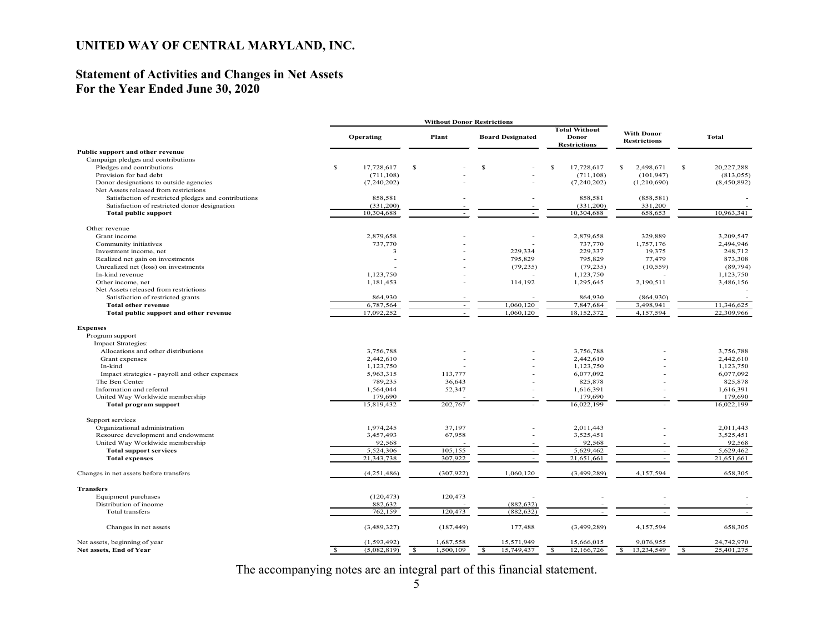# **Statement of Activities and Changes in Net Assets For the Year Ended June 30, 2020**

|                                                      |    |               |               | <b>Without Donor Restrictions</b> |                            |                          |                                                      |    |                                          |    |              |  |
|------------------------------------------------------|----|---------------|---------------|-----------------------------------|----------------------------|--------------------------|------------------------------------------------------|----|------------------------------------------|----|--------------|--|
|                                                      |    | Operating     |               | Plant                             | <b>Board Designated</b>    |                          | <b>Total Without</b><br>Donor<br><b>Restrictions</b> |    | <b>With Donor</b><br><b>Restrictions</b> |    | <b>Total</b> |  |
| Public support and other revenue                     |    |               |               |                                   |                            |                          |                                                      |    |                                          |    |              |  |
| Campaign pledges and contributions                   |    |               |               |                                   |                            |                          |                                                      |    |                                          |    |              |  |
| Pledges and contributions                            | \$ | 17,728,617    | <sup>\$</sup> |                                   | $\mathbf S$                |                          | -8<br>17,728,617                                     | \$ | 2,498,671                                | S  | 20,227,288   |  |
| Provision for bad debt                               |    | (711, 108)    |               |                                   |                            |                          | (711, 108)                                           |    | (101, 947)                               |    | (813, 055)   |  |
| Donor designations to outside agencies               |    | (7,240,202)   |               |                                   |                            |                          | (7,240,202)                                          |    | (1,210,690)                              |    | (8,450,892)  |  |
| Net Assets released from restrictions                |    |               |               |                                   |                            |                          |                                                      |    |                                          |    |              |  |
| Satisfaction of restricted pledges and contributions |    | 858,581       |               |                                   |                            |                          | 858,581                                              |    | (858, 581)                               |    |              |  |
| Satisfaction of restricted donor designation         |    | (331, 200)    |               |                                   |                            |                          | (331, 200)                                           |    | 331,200                                  |    |              |  |
| <b>Total public support</b>                          |    | 10,304,688    |               |                                   |                            | $\blacksquare$           | 10,304,688                                           |    | 658,653                                  |    | 10.963.341   |  |
| Other revenue                                        |    |               |               |                                   |                            |                          |                                                      |    |                                          |    |              |  |
| Grant income                                         |    | 2,879,658     |               |                                   |                            |                          | 2,879,658                                            |    | 329,889                                  |    | 3,209,547    |  |
| Community initiatives                                |    | 737,770       |               |                                   |                            |                          | 737,770                                              |    | 1,757,176                                |    | 2,494,946    |  |
| Investment income, net                               |    | 3             |               |                                   | 229,334                    |                          | 229,337                                              |    | 19,375                                   |    | 248,712      |  |
| Realized net gain on investments                     |    |               |               |                                   | 795,829                    |                          | 795,829                                              |    | 77,479                                   |    | 873,308      |  |
| Unrealized net (loss) on investments                 |    |               |               |                                   | (79, 235)                  |                          | (79, 235)                                            |    | (10, 559)                                |    | (89, 794)    |  |
| In-kind revenue                                      |    | 1,123,750     |               |                                   |                            |                          | 1,123,750                                            |    |                                          |    | 1,123,750    |  |
| Other income, net                                    |    | 1,181,453     |               |                                   | 114,192                    |                          | 1,295,645                                            |    | 2,190,511                                |    | 3,486,156    |  |
| Net Assets released from restrictions                |    |               |               |                                   |                            |                          |                                                      |    |                                          |    |              |  |
| Satisfaction of restricted grants                    |    | 864,930       |               |                                   |                            |                          | 864,930                                              |    | (864,930)                                |    |              |  |
| <b>Total other revenue</b>                           |    | 6,787,564     |               |                                   | 1,060,120                  |                          | 7,847,684                                            |    | 3,498,941                                |    | 11,346,625   |  |
| Total public support and other revenue               |    | 17,092,252    |               |                                   | 1,060,120                  |                          | 18,152,372                                           |    | 4,157,594                                |    | 22,309,966   |  |
| <b>Expenses</b><br>Program support                   |    |               |               |                                   |                            |                          |                                                      |    |                                          |    |              |  |
| <b>Impact Strategies:</b>                            |    |               |               |                                   |                            |                          |                                                      |    |                                          |    |              |  |
| Allocations and other distributions                  |    | 3,756,788     |               |                                   |                            |                          | 3,756,788                                            |    |                                          |    | 3,756,788    |  |
| Grant expenses                                       |    | 2,442,610     |               |                                   |                            |                          | 2,442,610                                            |    |                                          |    | 2,442,610    |  |
| In-kind                                              |    | 1,123,750     |               |                                   |                            |                          | 1.123.750                                            |    |                                          |    | 1.123.750    |  |
| Impact strategies - payroll and other expenses       |    | 5,963,315     |               | 113,777                           |                            |                          | 6,077,092                                            |    |                                          |    | 6,077,092    |  |
| The Ben Center                                       |    | 789,235       |               | 36,643                            |                            |                          | 825,878                                              |    |                                          |    | 825,878      |  |
| Information and referral                             |    | 1,564,044     |               | 52,347                            |                            |                          | 1,616,391                                            |    |                                          |    | 1,616,391    |  |
| United Way Worldwide membership                      |    | 179,690       |               |                                   |                            |                          | 179,690                                              |    |                                          |    | 179,690      |  |
| <b>Total program support</b>                         |    | 15,819,432    |               | 202,767                           |                            |                          | 16,022,199                                           |    |                                          |    | 16,022,199   |  |
| Support services                                     |    |               |               |                                   |                            |                          |                                                      |    |                                          |    |              |  |
| Organizational administration                        |    | 1,974,245     |               | 37,197                            |                            |                          | 2,011,443                                            |    |                                          |    | 2,011,443    |  |
| Resource development and endowment                   |    | 3,457,493     |               | 67,958                            |                            |                          | 3,525,451                                            |    |                                          |    | 3,525,451    |  |
| United Way Worldwide membership                      |    | 92,568        |               |                                   |                            |                          | 92,568                                               |    |                                          |    | 92,568       |  |
| <b>Total support services</b>                        |    | 5,524,306     |               | 105,155                           |                            | $\sim$                   | 5,629,462                                            |    |                                          |    | 5,629,462    |  |
| <b>Total expenses</b>                                |    | 21,343,738    |               | 307,922                           |                            | $\overline{\phantom{a}}$ | 21,651,661                                           |    |                                          |    | 21,651,661   |  |
| Changes in net assets before transfers               |    | (4,251,486)   |               | (307, 922)                        | 1,060,120                  |                          | (3,499,289)                                          |    | 4,157,594                                |    | 658,305      |  |
| <b>Transfers</b>                                     |    |               |               |                                   |                            |                          |                                                      |    |                                          |    |              |  |
| Equipment purchases                                  |    | (120, 473)    |               | 120,473                           |                            |                          |                                                      |    |                                          |    |              |  |
| Distribution of income                               |    | 882,632       |               |                                   | (882, 632)                 |                          |                                                      |    |                                          |    |              |  |
| Total transfers                                      |    | 762,159       |               | 120,473                           | (882, 632)                 |                          |                                                      |    |                                          |    |              |  |
| Changes in net assets                                |    | (3,489,327)   |               | (187, 449)                        | 177,488                    |                          | (3,499,289)                                          |    | 4,157,594                                |    | 658,305      |  |
| Net assets, beginning of year                        |    | (1, 593, 492) |               | 1,687,558                         | 15,571,949                 |                          | 15,666,015                                           |    | 9,076,955                                |    | 24,742,970   |  |
| Net assets, End of Year                              | -S | (5,082,819)   | - \$          | 1,500,109                         | <sup>S</sup><br>15,749,437 |                          | 12,166,726<br>S                                      | S. | 13,234,549                               | -S | 25,401,275   |  |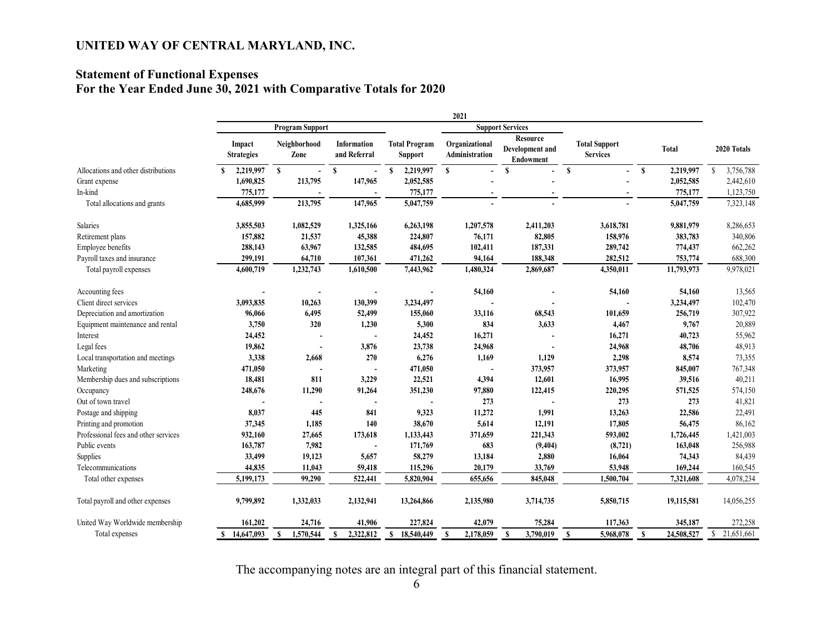#### **Statement of Functional Expenses**

#### **For the Year Ended June 30, 2021 with Comparative Totals for 2020**

|                                      |                             |                        |                                    |                                        | 2021                             |                                                        |                                         |                           |                            |  |
|--------------------------------------|-----------------------------|------------------------|------------------------------------|----------------------------------------|----------------------------------|--------------------------------------------------------|-----------------------------------------|---------------------------|----------------------------|--|
|                                      |                             | <b>Program Support</b> |                                    |                                        |                                  | <b>Support Services</b>                                |                                         |                           |                            |  |
|                                      | Impact<br><b>Strategies</b> | Neighborhood<br>Zone   | <b>Information</b><br>and Referral | <b>Total Program</b><br><b>Support</b> | Organizational<br>Administration | <b>Resource</b><br>Development and<br><b>Endowment</b> | <b>Total Support</b><br><b>Services</b> | <b>Total</b>              | 2020 Totals                |  |
| Allocations and other distributions  | 2,219,997<br>S              | $\mathbf{s}$           | $\mathbf{s}$                       | 2,219,997<br>S                         | $\mathbf S$<br>÷,                | $\mathbf{s}$<br>$\overline{a}$                         | $\mathbf{s}$<br>$\sim$                  | 2,219,997<br>$\mathbf{s}$ | 3,756,788<br><sup>\$</sup> |  |
| Grant expense                        | 1,690,825                   | 213,795                | 147,965                            | 2,052,585                              |                                  |                                                        |                                         | 2,052,585                 | 2,442,610                  |  |
| In-kind                              | 775,177                     |                        |                                    | 775,177                                |                                  |                                                        |                                         | 775,177                   | 1,123,750                  |  |
| Total allocations and grants         | 4,685,999                   | 213,795                | 147,965                            | 5,047,759                              |                                  |                                                        |                                         | 5,047,759                 | 7,323,148                  |  |
| Salaries                             | 3,855,503                   | 1,082,529              | 1,325,166                          | 6,263,198                              | 1,207,578                        | 2,411,203                                              | 3,618,781                               | 9,881,979                 | 8,286,653                  |  |
| Retirement plans                     | 157,882                     | 21,537                 | 45,388                             | 224,807                                | 76,171                           | 82,805                                                 | 158,976                                 | 383,783                   | 340,806                    |  |
| Employee benefits                    | 288,143                     | 63,967                 | 132,585                            | 484,695                                | 102,411                          | 187,331                                                | 289,742                                 | 774,437                   | 662,262                    |  |
| Payroll taxes and insurance          | 299,191                     | 64,710                 | 107,361                            | 471,262                                | 94,164                           | 188,348                                                | 282,512                                 | 753,774                   | 688,300                    |  |
| Total payroll expenses               | 4,600,719                   | 1,232,743              | 1,610,500                          | 7,443,962                              | 1,480,324                        | 2,869,687                                              | 4,350,011                               | 11,793,973                | 9,978,021                  |  |
| Accounting fees                      |                             |                        |                                    |                                        | 54,160                           |                                                        | 54,160                                  | 54,160                    | 13,565                     |  |
| Client direct services               | 3,093,835                   | 10,263                 | 130,399                            | 3,234,497                              |                                  |                                                        |                                         | 3,234,497                 | 102,470                    |  |
| Depreciation and amortization        | 96,066                      | 6,495                  | 52,499                             | 155,060                                | 33,116                           | 68,543                                                 | 101,659                                 | 256,719                   | 307,922                    |  |
| Equipment maintenance and rental     | 3,750                       | 320                    | 1,230                              | 5,300                                  | 834                              | 3,633                                                  | 4,467                                   | 9,767                     | 20,889                     |  |
| Interest                             | 24,452                      |                        |                                    | 24,452                                 | 16,271                           |                                                        | 16,271                                  | 40,723                    | 55,962                     |  |
| Legal fees                           | 19,862                      |                        | 3,876                              | 23,738                                 | 24,968                           |                                                        | 24,968                                  | 48,706                    | 48,913                     |  |
| Local transportation and meetings    | 3,338                       | 2,668                  | 270                                | 6,276                                  | 1,169                            | 1,129                                                  | 2,298                                   | 8,574                     | 73,355                     |  |
| Marketing                            | 471,050                     |                        |                                    | 471,050                                |                                  | 373,957                                                | 373,957                                 | 845,007                   | 767,348                    |  |
| Membership dues and subscriptions    | 18,481                      | 811                    | 3,229                              | 22,521                                 | 4,394                            | 12,601                                                 | 16,995                                  | 39,516                    | 40,211                     |  |
| Occupancy                            | 248,676                     | 11,290                 | 91,264                             | 351,230                                | 97,880                           | 122,415                                                | 220,295                                 | 571,525                   | 574,150                    |  |
| Out of town travel                   |                             |                        |                                    |                                        | 273                              |                                                        | 273                                     | 273                       | 41,821                     |  |
| Postage and shipping                 | 8,037                       | 445                    | 841                                | 9,323                                  | 11,272                           | 1,991                                                  | 13,263                                  | 22,586                    | 22,491                     |  |
| Printing and promotion               | 37,345                      | 1,185                  | 140                                | 38,670                                 | 5,614                            | 12,191                                                 | 17,805                                  | 56,475                    | 86,162                     |  |
| Professional fees and other services | 932,160                     | 27,665                 | 173,618                            | 1,133,443                              | 371,659                          | 221,343                                                | 593,002                                 | 1,726,445                 | 1,421,003                  |  |
| Public events                        | 163,787                     | 7,982                  |                                    | 171,769                                | 683                              | (9, 404)                                               | (8, 721)                                | 163,048                   | 256,988                    |  |
| Supplies                             | 33,499                      | 19,123                 | 5,657                              | 58,279                                 | 13,184                           | 2,880                                                  | 16,064                                  | 74,343                    | 84,439                     |  |
| Telecommunications                   | 44,835                      | 11,043                 | 59,418                             | 115,296                                | 20,179                           | 33,769                                                 | 53,948                                  | 169,244                   | 160,545                    |  |
| Total other expenses                 | 5,199,173                   | 99,290                 | 522,441                            | 5,820,904                              | 655,656                          | 845,048                                                | 1,500,704                               | 7,321,608                 | 4,078,234                  |  |
| Total payroll and other expenses     | 9,799,892                   | 1,332,033              | 2,132,941                          | 13,264,866                             | 2,135,980                        | 3,714,735                                              | 5,850,715                               | 19,115,581                | 14,056,255                 |  |
| United Way Worldwide membership      | 161,202                     | 24,716                 | 41,906                             | 227,824                                | 42,079                           | 75,284                                                 | 117,363                                 | 345,187                   | 272,258                    |  |
| Total expenses                       | \$14,647,093                | 1,570,544<br>S         | 2,322,812<br>S                     | 18,540,449<br>S                        | $\mathbf{s}$<br>2,178,059        | 3,790,019<br><b>S</b>                                  | <b>S</b><br>5,968,078                   | 24,508,527<br>S           | \$21,651,661               |  |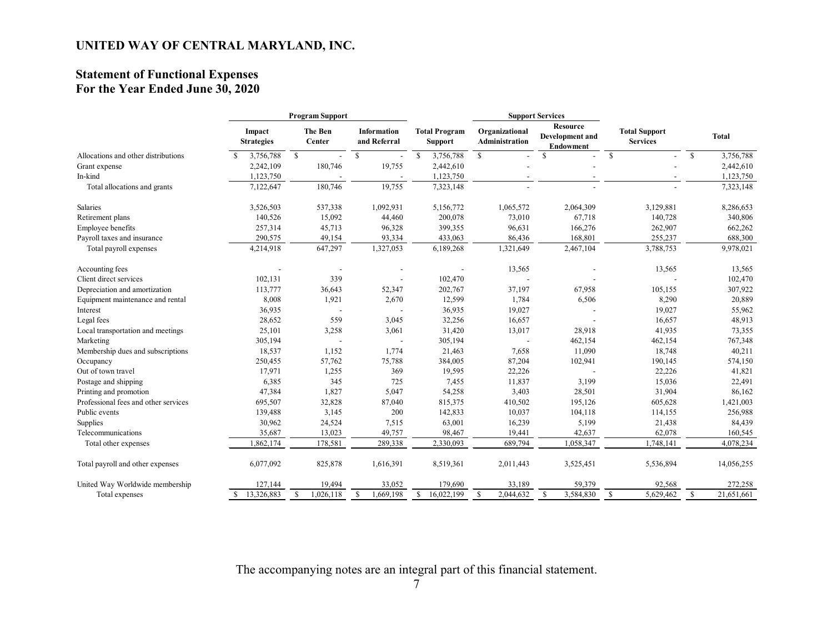# **Statement of Functional Expenses For the Year Ended June 30, 2020**

|                                      |                             | <b>Program Support</b>     |                                    |                                        |                                  | <b>Support Services</b>                         |                                         |                            |
|--------------------------------------|-----------------------------|----------------------------|------------------------------------|----------------------------------------|----------------------------------|-------------------------------------------------|-----------------------------------------|----------------------------|
|                                      | Impact<br><b>Strategies</b> | The Ben<br>Center          | <b>Information</b><br>and Referral | <b>Total Program</b><br><b>Support</b> | Organizational<br>Administration | <b>Resource</b><br>Development and<br>Endowment | <b>Total Support</b><br><b>Services</b> | <b>Total</b>               |
| Allocations and other distributions  | $\mathcal{S}$<br>3,756,788  | $\mathbb{S}$               | $\mathbb{S}$                       | $\mathbb{S}$<br>3,756,788              | $\mathbb{S}$                     | S                                               | $\mathcal{S}$                           | <sup>\$</sup><br>3,756,788 |
| Grant expense                        | 2,242,109                   | 180,746                    | 19,755                             | 2,442,610                              |                                  |                                                 |                                         | 2,442,610                  |
| In-kind                              | 1,123,750                   |                            | $\overline{\phantom{a}}$           | 1,123,750                              |                                  |                                                 |                                         | 1,123,750                  |
| Total allocations and grants         | 7,122,647                   | 180,746                    | 19,755                             | 7,323,148                              |                                  |                                                 |                                         | 7,323,148                  |
| Salaries                             | 3,526,503                   | 537,338                    | 1,092,931                          | 5,156,772                              | 1,065,572                        | 2,064,309                                       | 3,129,881                               | 8,286,653                  |
| Retirement plans                     | 140,526                     | 15,092                     | 44,460                             | 200,078                                | 73,010                           | 67,718                                          | 140,728                                 | 340,806                    |
| Employee benefits                    | 257,314                     | 45,713                     | 96,328                             | 399,355                                | 96,631                           | 166,276                                         | 262,907                                 | 662,262                    |
| Payroll taxes and insurance          | 290,575                     | 49,154                     | 93,334                             | 433,063                                | 86,436                           | 168,801                                         | 255,237                                 | 688,300                    |
| Total payroll expenses               | 4,214,918                   | 647,297                    | 1,327,053                          | 6,189,268                              | 1,321,649                        | 2,467,104                                       | 3,788,753                               | 9,978,021                  |
| Accounting fees                      |                             |                            |                                    |                                        | 13,565                           |                                                 | 13,565                                  | 13,565                     |
| Client direct services               | 102,131                     | 339                        |                                    | 102,470                                |                                  |                                                 |                                         | 102,470                    |
| Depreciation and amortization        | 113,777                     | 36,643                     | 52,347                             | 202,767                                | 37,197                           | 67,958                                          | 105,155                                 | 307,922                    |
| Equipment maintenance and rental     | 8,008                       | 1,921                      | 2,670                              | 12,599                                 | 1,784                            | 6,506                                           | 8,290                                   | 20,889                     |
| Interest                             | 36,935                      |                            |                                    | 36,935                                 | 19,027                           |                                                 | 19,027                                  | 55,962                     |
| Legal fees                           | 28,652                      | 559                        | 3,045                              | 32,256                                 | 16,657                           |                                                 | 16,657                                  | 48,913                     |
| Local transportation and meetings    | 25,101                      | 3,258                      | 3,061                              | 31,420                                 | 13,017                           | 28,918                                          | 41,935                                  | 73,355                     |
| Marketing                            | 305,194                     |                            |                                    | 305,194                                |                                  | 462,154                                         | 462,154                                 | 767,348                    |
| Membership dues and subscriptions    | 18,537                      | 1,152                      | 1.774                              | 21,463                                 | 7,658                            | 11,090                                          | 18,748                                  | 40,211                     |
| Occupancy                            | 250,455                     | 57,762                     | 75,788                             | 384,005                                | 87,204                           | 102,941                                         | 190,145                                 | 574,150                    |
| Out of town travel                   | 17,971                      | 1,255                      | 369                                | 19,595                                 | 22,226                           |                                                 | 22,226                                  | 41,821                     |
| Postage and shipping                 | 6,385                       | 345                        | 725                                | 7,455                                  | 11,837                           | 3,199                                           | 15,036                                  | 22,491                     |
| Printing and promotion               | 47,384                      | 1,827                      | 5,047                              | 54,258                                 | 3,403                            | 28,501                                          | 31,904                                  | 86,162                     |
| Professional fees and other services | 695,507                     | 32,828                     | 87,040                             | 815,375                                | 410,502                          | 195,126                                         | 605,628                                 | 1,421,003                  |
| Public events                        | 139,488                     | 3,145                      | 200                                | 142,833                                | 10,037                           | 104,118                                         | 114,155                                 | 256,988                    |
| Supplies                             | 30,962                      | 24,524                     | 7,515                              | 63,001                                 | 16,239                           | 5,199                                           | 21,438                                  | 84,439                     |
| Telecommunications                   | 35,687                      | 13,023                     | 49,757                             | 98,467                                 | 19,441                           | 42,637                                          | 62,078                                  | 160,545                    |
| Total other expenses                 | 1,862,174                   | 178,581                    | 289,338                            | 2,330,093                              | 689,794                          | 1,058,347                                       | 1,748,141                               | 4,078,234                  |
| Total payroll and other expenses     | 6,077,092                   | 825,878                    | 1,616,391                          | 8,519,361                              | 2,011,443                        | 3,525,451                                       | 5,536,894                               | 14,056,255                 |
| United Way Worldwide membership      | 127,144                     | 19,494                     | 33,052                             | 179,690                                | 33,189                           | 59,379                                          | 92,568                                  | 272,258                    |
| Total expenses                       | \$13,326,883                | <sup>\$</sup><br>1,026,118 | \$<br>1,669,198                    | \$16,022,199                           | 2,044,632<br>S                   | $\mathcal{S}$<br>3,584,830                      | $\mathbb{S}$<br>5,629,462               | $\mathbb{S}$<br>21,651,661 |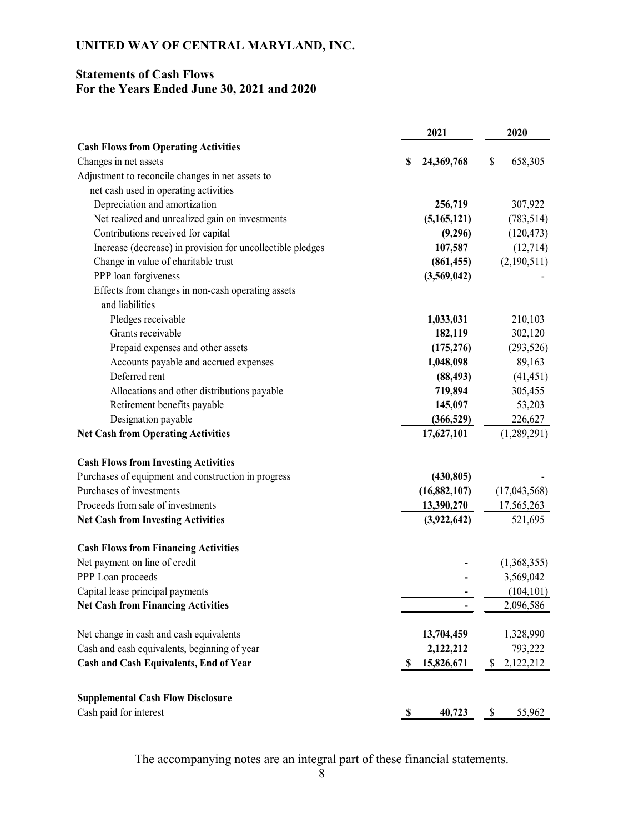# **Statements of Cash Flows For the Years Ended June 30, 2021 and 2020**

|                                                                      | 2021             | 2020                      |
|----------------------------------------------------------------------|------------------|---------------------------|
| <b>Cash Flows from Operating Activities</b>                          |                  |                           |
| Changes in net assets                                                | 24,369,768<br>\$ | 658,305<br>\$             |
| Adjustment to reconcile changes in net assets to                     |                  |                           |
| net cash used in operating activities                                |                  |                           |
| Depreciation and amortization                                        | 256,719          | 307,922                   |
| Net realized and unrealized gain on investments                      | (5,165,121)      | (783, 514)                |
| Contributions received for capital                                   | (9,296)          | (120, 473)                |
| Increase (decrease) in provision for uncollectible pledges           | 107,587          | (12,714)                  |
| Change in value of charitable trust                                  | (861, 455)       | (2,190,511)               |
| PPP loan forgiveness                                                 | (3,569,042)      |                           |
| Effects from changes in non-cash operating assets<br>and liabilities |                  |                           |
| Pledges receivable                                                   | 1,033,031        | 210,103                   |
| Grants receivable                                                    | 182,119          | 302,120                   |
| Prepaid expenses and other assets                                    | (175, 276)       | (293, 526)                |
| Accounts payable and accrued expenses                                | 1,048,098        | 89,163                    |
| Deferred rent                                                        | (88, 493)        | (41, 451)                 |
| Allocations and other distributions payable                          | 719,894          | 305,455                   |
| Retirement benefits payable                                          | 145,097          | 53,203                    |
| Designation payable                                                  | (366, 529)       | 226,627                   |
| <b>Net Cash from Operating Activities</b>                            | 17,627,101       | (1,289,291)               |
| <b>Cash Flows from Investing Activities</b>                          |                  |                           |
| Purchases of equipment and construction in progress                  | (430, 805)       |                           |
| Purchases of investments                                             | (16,882,107)     | (17,043,568)              |
| Proceeds from sale of investments                                    | 13,390,270       | 17,565,263                |
| <b>Net Cash from Investing Activities</b>                            | (3,922,642)      | 521,695                   |
| <b>Cash Flows from Financing Activities</b>                          |                  |                           |
| Net payment on line of credit                                        |                  | (1,368,355)               |
| PPP Loan proceeds                                                    |                  | 3,569,042                 |
| Capital lease principal payments                                     |                  | (104, 101)                |
| <b>Net Cash from Financing Activities</b>                            |                  | 2,096,586                 |
| Net change in cash and cash equivalents                              | 13,704,459       | 1,328,990                 |
| Cash and cash equivalents, beginning of year                         | 2,122,212        | 793,222                   |
| Cash and Cash Equivalents, End of Year                               | 15,826,671<br>\$ | 2,122,212<br>$\mathbb{S}$ |
| <b>Supplemental Cash Flow Disclosure</b>                             |                  |                           |
| Cash paid for interest                                               | 40,723<br>\$     | 55,962<br>\$              |
|                                                                      |                  |                           |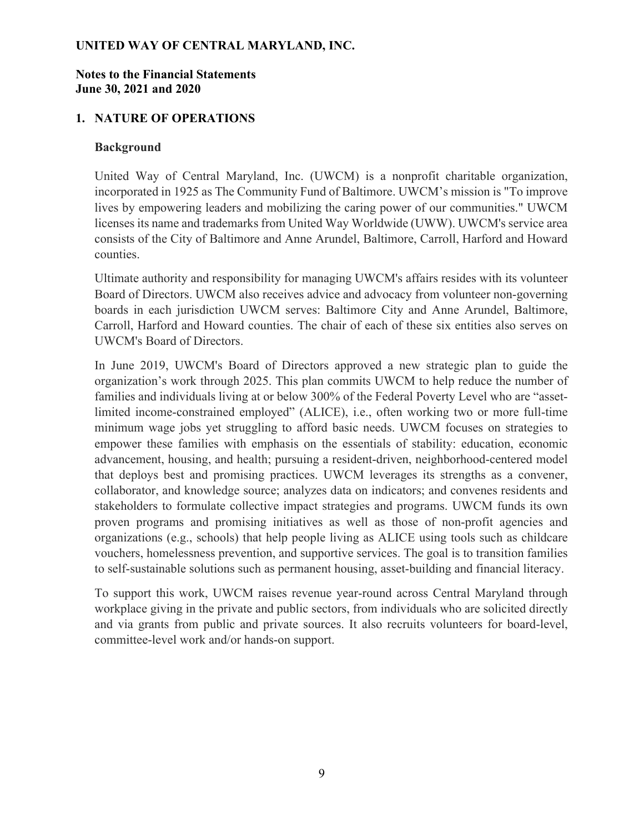### **Notes to the Financial Statements June 30, 2021 and 2020**

# **1. NATURE OF OPERATIONS**

### **Background**

United Way of Central Maryland, Inc. (UWCM) is a nonprofit charitable organization, incorporated in 1925 as The Community Fund of Baltimore. UWCM's mission is "To improve lives by empowering leaders and mobilizing the caring power of our communities." UWCM licenses its name and trademarks from United Way Worldwide (UWW). UWCM's service area consists of the City of Baltimore and Anne Arundel, Baltimore, Carroll, Harford and Howard counties.

Ultimate authority and responsibility for managing UWCM's affairs resides with its volunteer Board of Directors. UWCM also receives advice and advocacy from volunteer non-governing boards in each jurisdiction UWCM serves: Baltimore City and Anne Arundel, Baltimore, Carroll, Harford and Howard counties. The chair of each of these six entities also serves on UWCM's Board of Directors.

In June 2019, UWCM's Board of Directors approved a new strategic plan to guide the organization's work through 2025. This plan commits UWCM to help reduce the number of families and individuals living at or below 300% of the Federal Poverty Level who are "assetlimited income-constrained employed" (ALICE), i.e., often working two or more full-time minimum wage jobs yet struggling to afford basic needs. UWCM focuses on strategies to empower these families with emphasis on the essentials of stability: education, economic advancement, housing, and health; pursuing a resident-driven, neighborhood-centered model that deploys best and promising practices. UWCM leverages its strengths as a convener, collaborator, and knowledge source; analyzes data on indicators; and convenes residents and stakeholders to formulate collective impact strategies and programs. UWCM funds its own proven programs and promising initiatives as well as those of non-profit agencies and organizations (e.g., schools) that help people living as ALICE using tools such as childcare vouchers, homelessness prevention, and supportive services. The goal is to transition families to self-sustainable solutions such as permanent housing, asset-building and financial literacy.

To support this work, UWCM raises revenue year-round across Central Maryland through workplace giving in the private and public sectors, from individuals who are solicited directly and via grants from public and private sources. It also recruits volunteers for board-level, committee-level work and/or hands-on support.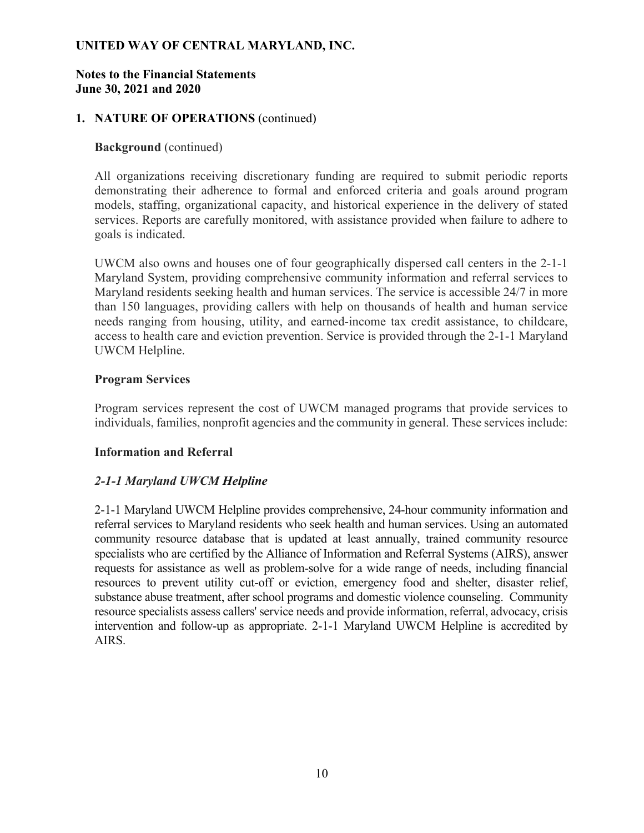### **Notes to the Financial Statements June 30, 2021 and 2020**

# **1. NATURE OF OPERATIONS** (continued)

# **Background** (continued)

All organizations receiving discretionary funding are required to submit periodic reports demonstrating their adherence to formal and enforced criteria and goals around program models, staffing, organizational capacity, and historical experience in the delivery of stated services. Reports are carefully monitored, with assistance provided when failure to adhere to goals is indicated.

UWCM also owns and houses one of four geographically dispersed call centers in the 2-1-1 Maryland System, providing comprehensive community information and referral services to Maryland residents seeking health and human services. The service is accessible 24/7 in more than 150 languages, providing callers with help on thousands of health and human service needs ranging from housing, utility, and earned-income tax credit assistance, to childcare, access to health care and eviction prevention. Service is provided through the 2-1-1 Maryland UWCM Helpline.

# **Program Services**

Program services represent the cost of UWCM managed programs that provide services to individuals, families, nonprofit agencies and the community in general. These services include:

### **Information and Referral**

# *2-1-1 Maryland UWCM Helpline*

2-1-1 Maryland UWCM Helpline provides comprehensive, 24-hour community information and referral services to Maryland residents who seek health and human services. Using an automated community resource database that is updated at least annually, trained community resource specialists who are certified by the Alliance of Information and Referral Systems (AIRS), answer requests for assistance as well as problem-solve for a wide range of needs, including financial resources to prevent utility cut-off or eviction, emergency food and shelter, disaster relief, substance abuse treatment, after school programs and domestic violence counseling. Community resource specialists assess callers' service needs and provide information, referral, advocacy, crisis intervention and follow-up as appropriate. 2-1-1 Maryland UWCM Helpline is accredited by AIRS.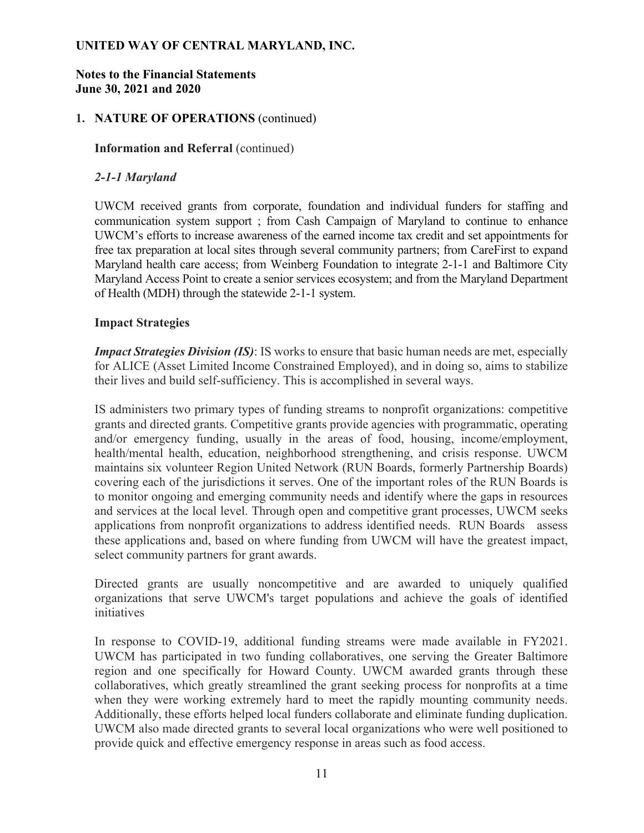### **Notes to the Financial Statements June 30, 2021 and 2020**

# **1. NATURE OF OPERATIONS** (continued)

**Information and Referral** (continued)

## *2-1-1 Maryland*

UWCM received grants from corporate, foundation and individual funders for staffing and communication system support ; from Cash Campaign of Maryland to continue to enhance UWCM's efforts to increase awareness of the earned income tax credit and set appointments for free tax preparation at local sites through several community partners; from CareFirst to expand Maryland health care access; from Weinberg Foundation to integrate 2-1-1 and Baltimore City Maryland Access Point to create a senior services ecosystem; and from the Maryland Department of Health (MDH) through the statewide 2-1-1 system.

### **Impact Strategies**

*Impact Strategies Division (IS)*: IS works to ensure that basic human needs are met, especially for ALICE (Asset Limited Income Constrained Employed), and in doing so, aims to stabilize their lives and build self-sufficiency. This is accomplished in several ways.

IS administers two primary types of funding streams to nonprofit organizations: competitive grants and directed grants. Competitive grants provide agencies with programmatic, operating and/or emergency funding, usually in the areas of food, housing, income/employment, health/mental health, education, neighborhood strengthening, and crisis response. UWCM maintains six volunteer Region United Network (RUN Boards, formerly Partnership Boards) covering each of the jurisdictions it serves. One of the important roles of the RUN Boards is to monitor ongoing and emerging community needs and identify where the gaps in resources and services at the local level. Through open and competitive grant processes, UWCM seeks applications from nonprofit organizations to address identified needs. RUN Boards assess these applications and, based on where funding from UWCM will have the greatest impact, select community partners for grant awards.

Directed grants are usually noncompetitive and are awarded to uniquely qualified organizations that serve UWCM's target populations and achieve the goals of identified initiatives

In response to COVID-19, additional funding streams were made available in FY2021. UWCM has participated in two funding collaboratives, one serving the Greater Baltimore region and one specifically for Howard County. UWCM awarded grants through these collaboratives, which greatly streamlined the grant seeking process for nonprofits at a time when they were working extremely hard to meet the rapidly mounting community needs. Additionally, these efforts helped local funders collaborate and eliminate funding duplication. UWCM also made directed grants to several local organizations who were well positioned to provide quick and effective emergency response in areas such as food access.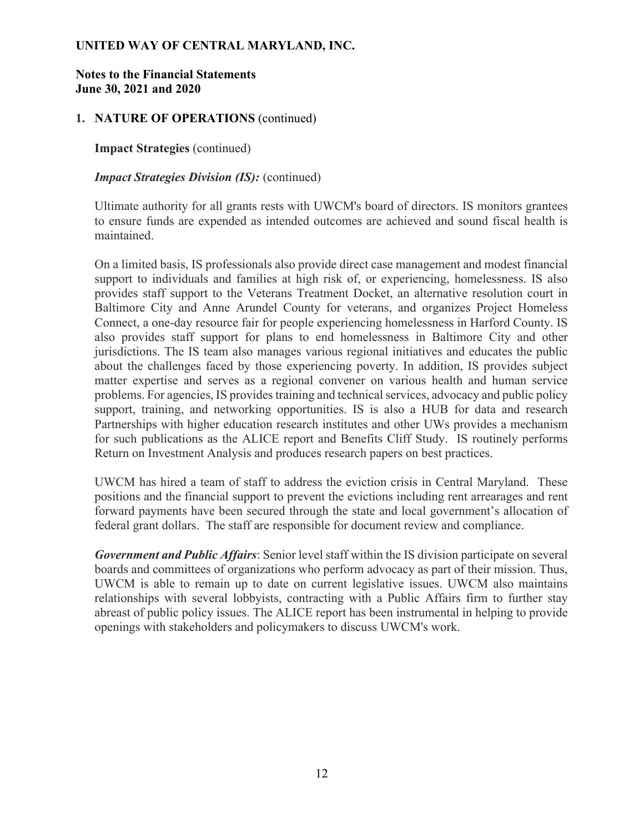### **Notes to the Financial Statements June 30, 2021 and 2020**

# **1. NATURE OF OPERATIONS** (continued)

**Impact Strategies** (continued)

### *Impact Strategies Division (IS): (continued)*

Ultimate authority for all grants rests with UWCM's board of directors. IS monitors grantees to ensure funds are expended as intended outcomes are achieved and sound fiscal health is maintained.

On a limited basis, IS professionals also provide direct case management and modest financial support to individuals and families at high risk of, or experiencing, homelessness. IS also provides staff support to the Veterans Treatment Docket, an alternative resolution court in Baltimore City and Anne Arundel County for veterans, and organizes Project Homeless Connect, a one-day resource fair for people experiencing homelessness in Harford County. IS also provides staff support for plans to end homelessness in Baltimore City and other jurisdictions. The IS team also manages various regional initiatives and educates the public about the challenges faced by those experiencing poverty. In addition, IS provides subject matter expertise and serves as a regional convener on various health and human service problems. For agencies, IS provides training and technical services, advocacy and public policy support, training, and networking opportunities. IS is also a HUB for data and research Partnerships with higher education research institutes and other UWs provides a mechanism for such publications as the ALICE report and Benefits Cliff Study. IS routinely performs Return on Investment Analysis and produces research papers on best practices.

UWCM has hired a team of staff to address the eviction crisis in Central Maryland. These positions and the financial support to prevent the evictions including rent arrearages and rent forward payments have been secured through the state and local government's allocation of federal grant dollars. The staff are responsible for document review and compliance.

*Government and Public Affairs*: Senior level staff within the IS division participate on several boards and committees of organizations who perform advocacy as part of their mission. Thus, UWCM is able to remain up to date on current legislative issues. UWCM also maintains relationships with several lobbyists, contracting with a Public Affairs firm to further stay abreast of public policy issues. The ALICE report has been instrumental in helping to provide openings with stakeholders and policymakers to discuss UWCM's work.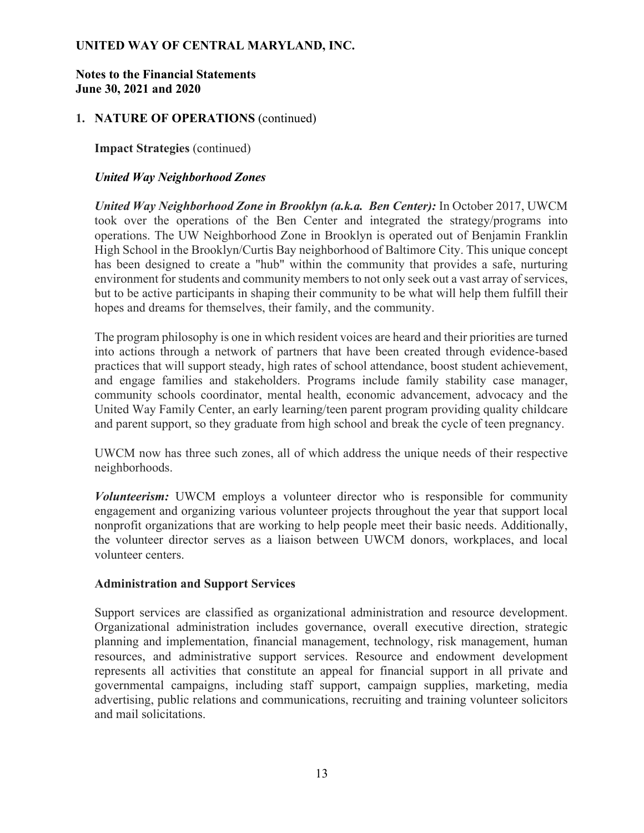### **Notes to the Financial Statements June 30, 2021 and 2020**

## **1. NATURE OF OPERATIONS** (continued)

**Impact Strategies** (continued)

## *United Way Neighborhood Zones*

*United Way Neighborhood Zone in Brooklyn (a.k.a. Ben Center):* In October 2017, UWCM took over the operations of the Ben Center and integrated the strategy/programs into operations. The UW Neighborhood Zone in Brooklyn is operated out of Benjamin Franklin High School in the Brooklyn/Curtis Bay neighborhood of Baltimore City. This unique concept has been designed to create a "hub" within the community that provides a safe, nurturing environment for students and community members to not only seek out a vast array of services, but to be active participants in shaping their community to be what will help them fulfill their hopes and dreams for themselves, their family, and the community.

The program philosophy is one in which resident voices are heard and their priorities are turned into actions through a network of partners that have been created through evidence-based practices that will support steady, high rates of school attendance, boost student achievement, and engage families and stakeholders. Programs include family stability case manager, community schools coordinator, mental health, economic advancement, advocacy and the United Way Family Center, an early learning/teen parent program providing quality childcare and parent support, so they graduate from high school and break the cycle of teen pregnancy.

UWCM now has three such zones, all of which address the unique needs of their respective neighborhoods.

*Volunteerism:* UWCM employs a volunteer director who is responsible for community engagement and organizing various volunteer projects throughout the year that support local nonprofit organizations that are working to help people meet their basic needs. Additionally, the volunteer director serves as a liaison between UWCM donors, workplaces, and local volunteer centers.

### **Administration and Support Services**

Support services are classified as organizational administration and resource development. Organizational administration includes governance, overall executive direction, strategic planning and implementation, financial management, technology, risk management, human resources, and administrative support services. Resource and endowment development represents all activities that constitute an appeal for financial support in all private and governmental campaigns, including staff support, campaign supplies, marketing, media advertising, public relations and communications, recruiting and training volunteer solicitors and mail solicitations.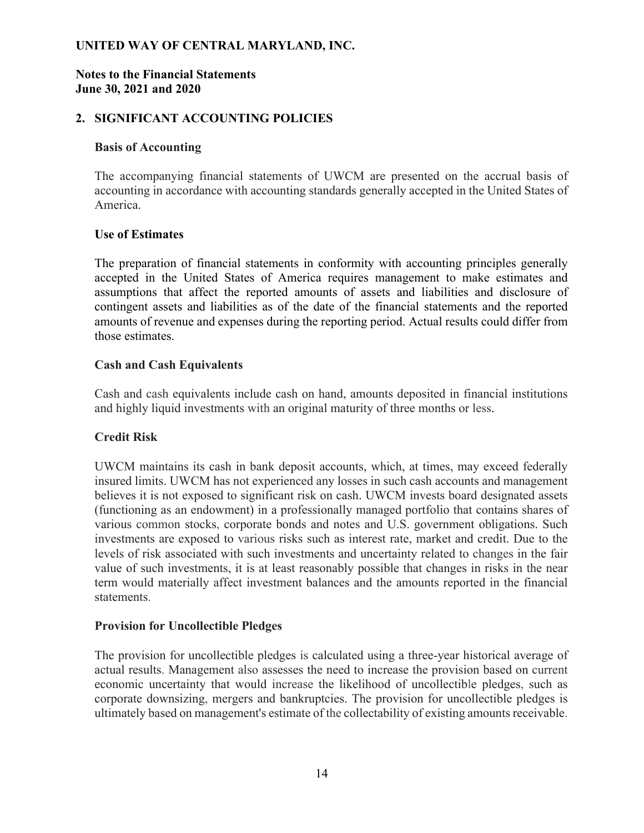### **Notes to the Financial Statements June 30, 2021 and 2020**

# **2. SIGNIFICANT ACCOUNTING POLICIES**

### **Basis of Accounting**

The accompanying financial statements of UWCM are presented on the accrual basis of accounting in accordance with accounting standards generally accepted in the United States of America.

### **Use of Estimates**

The preparation of financial statements in conformity with accounting principles generally accepted in the United States of America requires management to make estimates and assumptions that affect the reported amounts of assets and liabilities and disclosure of contingent assets and liabilities as of the date of the financial statements and the reported amounts of revenue and expenses during the reporting period. Actual results could differ from those estimates.

# **Cash and Cash Equivalents**

Cash and cash equivalents include cash on hand, amounts deposited in financial institutions and highly liquid investments with an original maturity of three months or less.

# **Credit Risk**

UWCM maintains its cash in bank deposit accounts, which, at times, may exceed federally insured limits. UWCM has not experienced any losses in such cash accounts and management believes it is not exposed to significant risk on cash. UWCM invests board designated assets (functioning as an endowment) in a professionally managed portfolio that contains shares of various common stocks, corporate bonds and notes and U.S. government obligations. Such investments are exposed to various risks such as interest rate, market and credit. Due to the levels of risk associated with such investments and uncertainty related to changes in the fair value of such investments, it is at least reasonably possible that changes in risks in the near term would materially affect investment balances and the amounts reported in the financial statements.

### **Provision for Uncollectible Pledges**

The provision for uncollectible pledges is calculated using a three-year historical average of actual results. Management also assesses the need to increase the provision based on current economic uncertainty that would increase the likelihood of uncollectible pledges, such as corporate downsizing, mergers and bankruptcies. The provision for uncollectible pledges is ultimately based on management's estimate of the collectability of existing amounts receivable.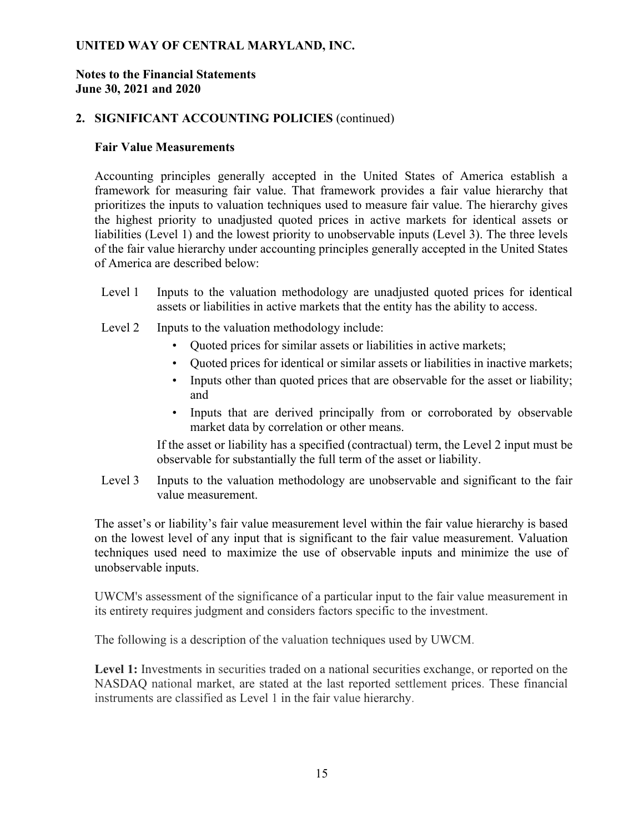### **Notes to the Financial Statements June 30, 2021 and 2020**

# **2. SIGNIFICANT ACCOUNTING POLICIES** (continued)

## **Fair Value Measurements**

Accounting principles generally accepted in the United States of America establish a framework for measuring fair value. That framework provides a fair value hierarchy that prioritizes the inputs to valuation techniques used to measure fair value. The hierarchy gives the highest priority to unadjusted quoted prices in active markets for identical assets or liabilities (Level 1) and the lowest priority to unobservable inputs (Level 3). The three levels of the fair value hierarchy under accounting principles generally accepted in the United States of America are described below:

- Level 1 Inputs to the valuation methodology are unadjusted quoted prices for identical assets or liabilities in active markets that the entity has the ability to access.
- Level 2 Inputs to the valuation methodology include:
	- Quoted prices for similar assets or liabilities in active markets;
	- Quoted prices for identical or similar assets or liabilities in inactive markets;
	- Inputs other than quoted prices that are observable for the asset or liability; and
	- Inputs that are derived principally from or corroborated by observable market data by correlation or other means.

If the asset or liability has a specified (contractual) term, the Level 2 input must be observable for substantially the full term of the asset or liability.

Level 3 Inputs to the valuation methodology are unobservable and significant to the fair value measurement.

The asset's or liability's fair value measurement level within the fair value hierarchy is based on the lowest level of any input that is significant to the fair value measurement. Valuation techniques used need to maximize the use of observable inputs and minimize the use of unobservable inputs.

UWCM's assessment of the significance of a particular input to the fair value measurement in its entirety requires judgment and considers factors specific to the investment.

The following is a description of the valuation techniques used by UWCM.

Level 1: Investments in securities traded on a national securities exchange, or reported on the NASDAQ national market, are stated at the last reported settlement prices. These financial instruments are classified as Level 1 in the fair value hierarchy.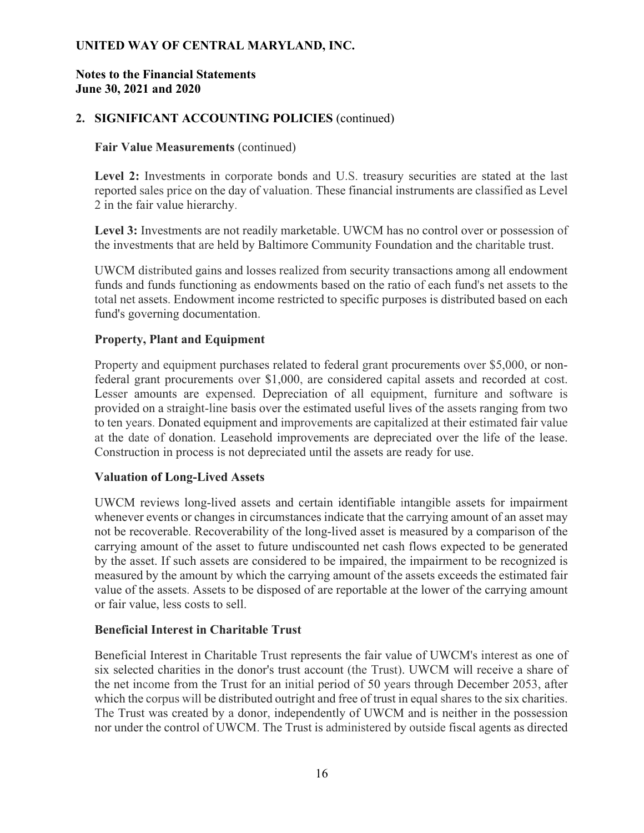### **Notes to the Financial Statements June 30, 2021 and 2020**

# **2. SIGNIFICANT ACCOUNTING POLICIES** (continued)

### **Fair Value Measurements** (continued)

Level 2: Investments in corporate bonds and U.S. treasury securities are stated at the last reported sales price on the day of valuation. These financial instruments are classified as Level 2 in the fair value hierarchy.

**Level 3:** Investments are not readily marketable. UWCM has no control over or possession of the investments that are held by Baltimore Community Foundation and the charitable trust.

UWCM distributed gains and losses realized from security transactions among all endowment funds and funds functioning as endowments based on the ratio of each fund's net assets to the total net assets. Endowment income restricted to specific purposes is distributed based on each fund's governing documentation.

# **Property, Plant and Equipment**

Property and equipment purchases related to federal grant procurements over \$5,000, or nonfederal grant procurements over \$1,000, are considered capital assets and recorded at cost. Lesser amounts are expensed. Depreciation of all equipment, furniture and software is provided on a straight-line basis over the estimated useful lives of the assets ranging from two to ten years. Donated equipment and improvements are capitalized at their estimated fair value at the date of donation. Leasehold improvements are depreciated over the life of the lease. Construction in process is not depreciated until the assets are ready for use.

### **Valuation of Long-Lived Assets**

UWCM reviews long-lived assets and certain identifiable intangible assets for impairment whenever events or changes in circumstances indicate that the carrying amount of an asset may not be recoverable. Recoverability of the long-lived asset is measured by a comparison of the carrying amount of the asset to future undiscounted net cash flows expected to be generated by the asset. If such assets are considered to be impaired, the impairment to be recognized is measured by the amount by which the carrying amount of the assets exceeds the estimated fair value of the assets. Assets to be disposed of are reportable at the lower of the carrying amount or fair value, less costs to sell.

### **Beneficial Interest in Charitable Trust**

Beneficial Interest in Charitable Trust represents the fair value of UWCM's interest as one of six selected charities in the donor's trust account (the Trust). UWCM will receive a share of the net income from the Trust for an initial period of 50 years through December 2053, after which the corpus will be distributed outright and free of trust in equal shares to the six charities. The Trust was created by a donor, independently of UWCM and is neither in the possession nor under the control of UWCM. The Trust is administered by outside fiscal agents as directed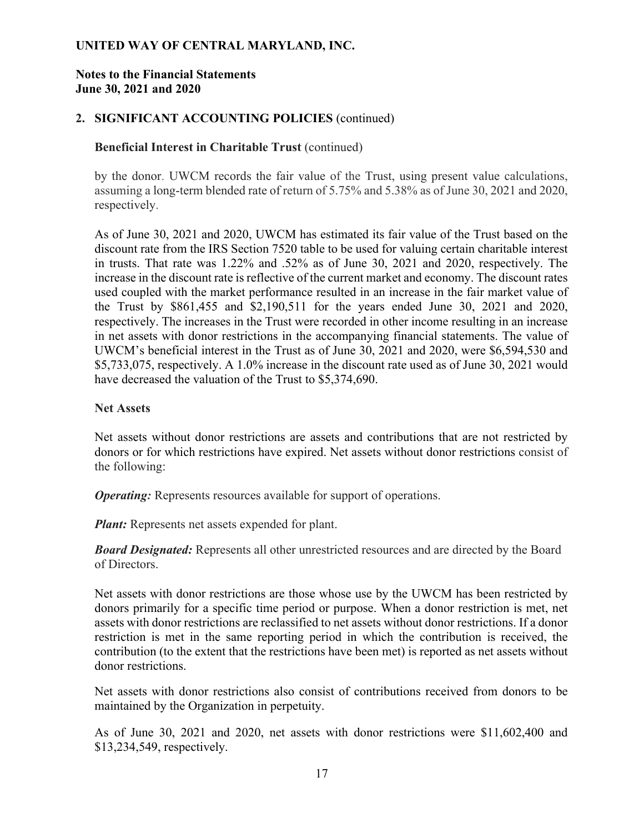### **Notes to the Financial Statements June 30, 2021 and 2020**

# **2. SIGNIFICANT ACCOUNTING POLICIES** (continued)

### **Beneficial Interest in Charitable Trust (continued)**

by the donor. UWCM records the fair value of the Trust, using present value calculations, assuming a long-term blended rate of return of 5.75% and 5.38% as of June 30, 2021 and 2020, respectively.

As of June 30, 2021 and 2020, UWCM has estimated its fair value of the Trust based on the discount rate from the IRS Section 7520 table to be used for valuing certain charitable interest in trusts. That rate was 1.22% and .52% as of June 30, 2021 and 2020, respectively. The increase in the discount rate is reflective of the current market and economy. The discount rates used coupled with the market performance resulted in an increase in the fair market value of the Trust by \$861,455 and \$2,190,511 for the years ended June 30, 2021 and 2020, respectively. The increases in the Trust were recorded in other income resulting in an increase in net assets with donor restrictions in the accompanying financial statements. The value of UWCM's beneficial interest in the Trust as of June 30, 2021 and 2020, were \$6,594,530 and \$5,733,075, respectively. A 1.0% increase in the discount rate used as of June 30, 2021 would have decreased the valuation of the Trust to \$5,374,690.

### **Net Assets**

Net assets without donor restrictions are assets and contributions that are not restricted by donors or for which restrictions have expired. Net assets without donor restrictions consist of the following:

*Operating:* Represents resources available for support of operations.

*Plant:* Represents net assets expended for plant.

*Board Designated:* Represents all other unrestricted resources and are directed by the Board of Directors.

Net assets with donor restrictions are those whose use by the UWCM has been restricted by donors primarily for a specific time period or purpose. When a donor restriction is met, net assets with donor restrictions are reclassified to net assets without donor restrictions. If a donor restriction is met in the same reporting period in which the contribution is received, the contribution (to the extent that the restrictions have been met) is reported as net assets without donor restrictions.

Net assets with donor restrictions also consist of contributions received from donors to be maintained by the Organization in perpetuity.

As of June 30, 2021 and 2020, net assets with donor restrictions were \$11,602,400 and \$13,234,549, respectively.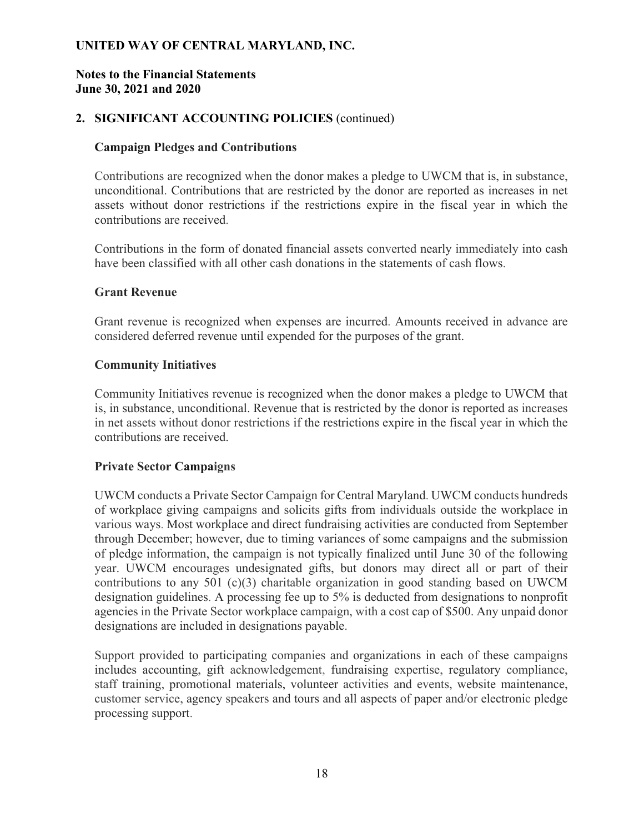### **Notes to the Financial Statements June 30, 2021 and 2020**

# **2. SIGNIFICANT ACCOUNTING POLICIES** (continued)

# **Campaign Pledges and Contributions**

Contributions are recognized when the donor makes a pledge to UWCM that is, in substance, unconditional. Contributions that are restricted by the donor are reported as increases in net assets without donor restrictions if the restrictions expire in the fiscal year in which the contributions are received.

Contributions in the form of donated financial assets converted nearly immediately into cash have been classified with all other cash donations in the statements of cash flows.

# **Grant Revenue**

Grant revenue is recognized when expenses are incurred. Amounts received in advance are considered deferred revenue until expended for the purposes of the grant.

# **Community Initiatives**

Community Initiatives revenue is recognized when the donor makes a pledge to UWCM that is, in substance, unconditional. Revenue that is restricted by the donor is reported as increases in net assets without donor restrictions if the restrictions expire in the fiscal year in which the contributions are received.

# **Private Sector Campaigns**

UWCM conducts a Private Sector Campaign for Central Maryland. UWCM conducts hundreds of workplace giving campaigns and solicits gifts from individuals outside the workplace in various ways. Most workplace and direct fundraising activities are conducted from September through December; however, due to timing variances of some campaigns and the submission of pledge information, the campaign is not typically finalized until June 30 of the following year. UWCM encourages undesignated gifts, but donors may direct all or part of their contributions to any 501 (c)(3) charitable organization in good standing based on UWCM designation guidelines. A processing fee up to 5% is deducted from designations to nonprofit agencies in the Private Sector workplace campaign, with a cost cap of \$500. Any unpaid donor designations are included in designations payable.

Support provided to participating companies and organizations in each of these campaigns includes accounting, gift acknowledgement, fundraising expertise, regulatory compliance, staff training, promotional materials, volunteer activities and events, website maintenance, customer service, agency speakers and tours and all aspects of paper and/or electronic pledge processing support.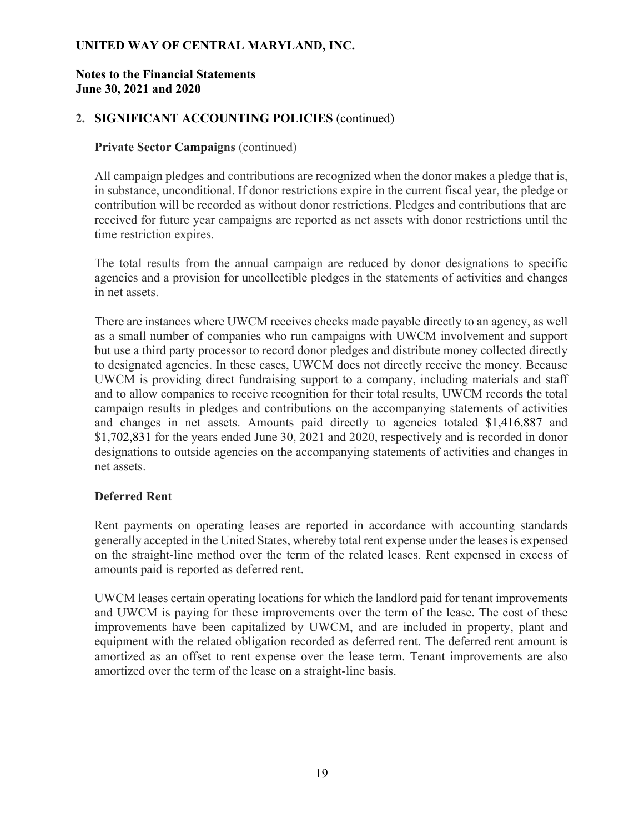### **Notes to the Financial Statements June 30, 2021 and 2020**

# **2. SIGNIFICANT ACCOUNTING POLICIES** (continued)

### **Private Sector Campaigns** (continued)

All campaign pledges and contributions are recognized when the donor makes a pledge that is, in substance, unconditional. If donor restrictions expire in the current fiscal year, the pledge or contribution will be recorded as without donor restrictions. Pledges and contributions that are received for future year campaigns are reported as net assets with donor restrictions until the time restriction expires.

The total results from the annual campaign are reduced by donor designations to specific agencies and a provision for uncollectible pledges in the statements of activities and changes in net assets.

There are instances where UWCM receives checks made payable directly to an agency, as well as a small number of companies who run campaigns with UWCM involvement and support but use a third party processor to record donor pledges and distribute money collected directly to designated agencies. In these cases, UWCM does not directly receive the money. Because UWCM is providing direct fundraising support to a company, including materials and staff and to allow companies to receive recognition for their total results, UWCM records the total campaign results in pledges and contributions on the accompanying statements of activities and changes in net assets. Amounts paid directly to agencies totaled \$1,416,887 and \$1,702,831 for the years ended June 30, 2021 and 2020, respectively and is recorded in donor designations to outside agencies on the accompanying statements of activities and changes in net assets.

# **Deferred Rent**

Rent payments on operating leases are reported in accordance with accounting standards generally accepted in the United States, whereby total rent expense under the leases is expensed on the straight-line method over the term of the related leases. Rent expensed in excess of amounts paid is reported as deferred rent.

UWCM leases certain operating locations for which the landlord paid for tenant improvements and UWCM is paying for these improvements over the term of the lease. The cost of these improvements have been capitalized by UWCM, and are included in property, plant and equipment with the related obligation recorded as deferred rent. The deferred rent amount is amortized as an offset to rent expense over the lease term. Tenant improvements are also amortized over the term of the lease on a straight-line basis.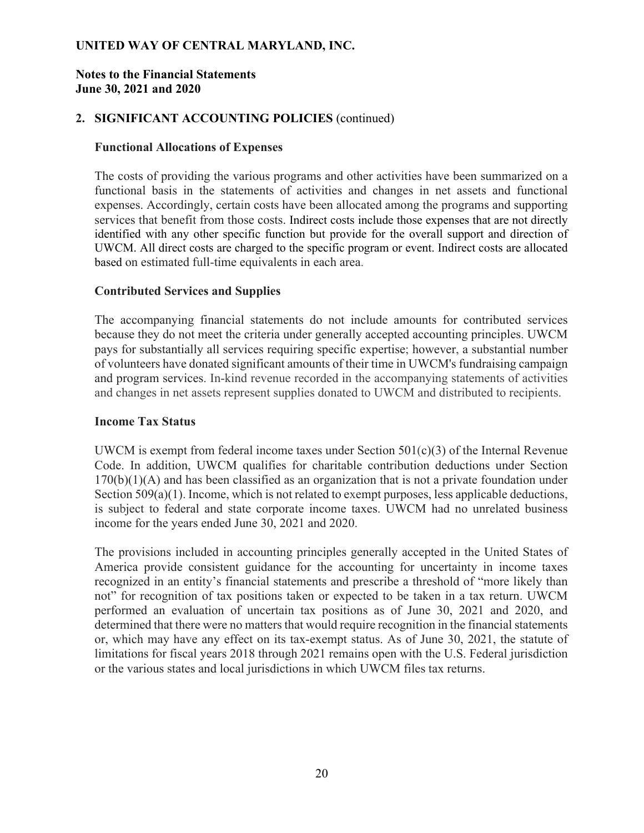### **Notes to the Financial Statements June 30, 2021 and 2020**

## **2. SIGNIFICANT ACCOUNTING POLICIES** (continued)

### **Functional Allocations of Expenses**

The costs of providing the various programs and other activities have been summarized on a functional basis in the statements of activities and changes in net assets and functional expenses. Accordingly, certain costs have been allocated among the programs and supporting services that benefit from those costs. Indirect costs include those expenses that are not directly identified with any other specific function but provide for the overall support and direction of UWCM. All direct costs are charged to the specific program or event. Indirect costs are allocated based on estimated full-time equivalents in each area.

### **Contributed Services and Supplies**

The accompanying financial statements do not include amounts for contributed services because they do not meet the criteria under generally accepted accounting principles. UWCM pays for substantially all services requiring specific expertise; however, a substantial number of volunteers have donated significant amounts of their time in UWCM's fundraising campaign and program services. In-kind revenue recorded in the accompanying statements of activities and changes in net assets represent supplies donated to UWCM and distributed to recipients.

### **Income Tax Status**

UWCM is exempt from federal income taxes under Section  $501(c)(3)$  of the Internal Revenue Code. In addition, UWCM qualifies for charitable contribution deductions under Section  $170(b)(1)(A)$  and has been classified as an organization that is not a private foundation under Section 509(a)(1). Income, which is not related to exempt purposes, less applicable deductions, is subject to federal and state corporate income taxes. UWCM had no unrelated business income for the years ended June 30, 2021 and 2020.

The provisions included in accounting principles generally accepted in the United States of America provide consistent guidance for the accounting for uncertainty in income taxes recognized in an entity's financial statements and prescribe a threshold of "more likely than not" for recognition of tax positions taken or expected to be taken in a tax return. UWCM performed an evaluation of uncertain tax positions as of June 30, 2021 and 2020, and determined that there were no matters that would require recognition in the financial statements or, which may have any effect on its tax-exempt status. As of June 30, 2021, the statute of limitations for fiscal years 2018 through 2021 remains open with the U.S. Federal jurisdiction or the various states and local jurisdictions in which UWCM files tax returns.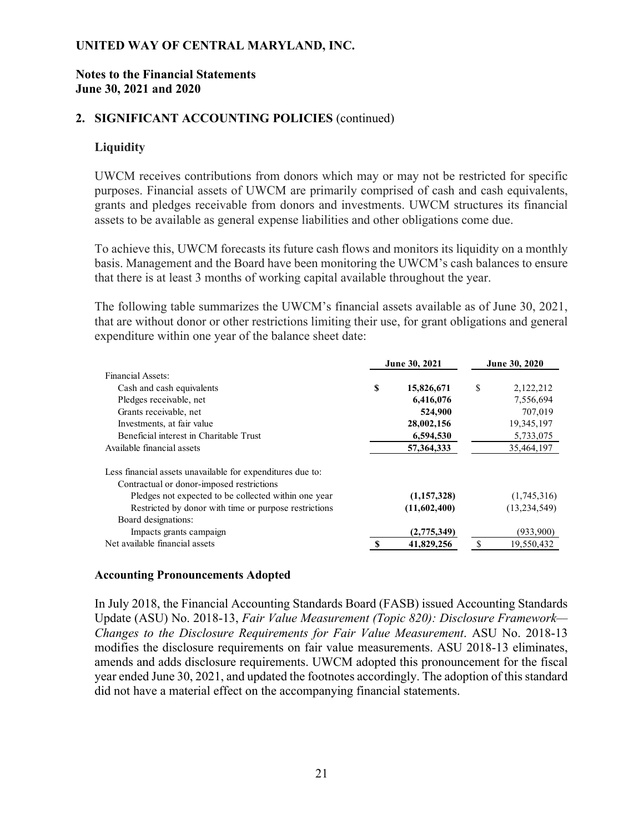### **Notes to the Financial Statements June 30, 2021 and 2020**

# **2. SIGNIFICANT ACCOUNTING POLICIES** (continued)

# **Liquidity**

UWCM receives contributions from donors which may or may not be restricted for specific purposes. Financial assets of UWCM are primarily comprised of cash and cash equivalents, grants and pledges receivable from donors and investments. UWCM structures its financial assets to be available as general expense liabilities and other obligations come due.

To achieve this, UWCM forecasts its future cash flows and monitors its liquidity on a monthly basis. Management and the Board have been monitoring the UWCM's cash balances to ensure that there is at least 3 months of working capital available throughout the year.

The following table summarizes the UWCM's financial assets available as of June 30, 2021, that are without donor or other restrictions limiting their use, for grant obligations and general expenditure within one year of the balance sheet date:

|                                                            | June 30, 2021 |              |    | June 30, 2020  |
|------------------------------------------------------------|---------------|--------------|----|----------------|
| Financial Assets:                                          |               |              |    |                |
| Cash and cash equivalents                                  | S             | 15,826,671   | S  | 2,122,212      |
| Pledges receivable, net                                    |               | 6,416,076    |    | 7,556,694      |
| Grants receivable, net                                     |               | 524,900      |    | 707,019        |
| Investments, at fair value                                 |               | 28,002,156   |    | 19,345,197     |
| Beneficial interest in Charitable Trust                    |               | 6,594,530    |    | 5,733,075      |
| Available financial assets                                 |               | 57, 364, 333 |    | 35,464,197     |
| Less financial assets unavailable for expenditures due to: |               |              |    |                |
| Contractual or donor-imposed restrictions                  |               |              |    |                |
| Pledges not expected to be collected within one year       |               | (1,157,328)  |    | (1,745,316)    |
| Restricted by donor with time or purpose restrictions      |               | (11,602,400) |    | (13, 234, 549) |
| Board designations:                                        |               |              |    |                |
| Impacts grants campaign                                    |               | (2,775,349)  |    | (933,900)      |
| Net available financial assets                             |               | 41,829,256   | \$ | 19,550,432     |
|                                                            |               |              |    |                |

### **Accounting Pronouncements Adopted**

In July 2018, the Financial Accounting Standards Board (FASB) issued Accounting Standards Update (ASU) No. 2018-13, *Fair Value Measurement (Topic 820): Disclosure Framework— Changes to the Disclosure Requirements for Fair Value Measurement*. ASU No. 2018-13 modifies the disclosure requirements on fair value measurements. ASU 2018-13 eliminates, amends and adds disclosure requirements. UWCM adopted this pronouncement for the fiscal year ended June 30, 2021, and updated the footnotes accordingly. The adoption of this standard did not have a material effect on the accompanying financial statements.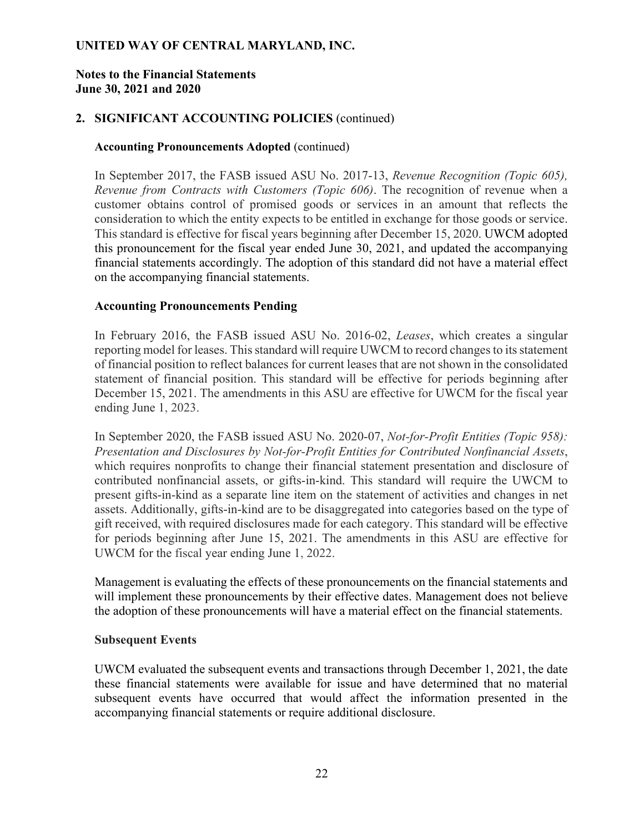### **Notes to the Financial Statements June 30, 2021 and 2020**

## **2. SIGNIFICANT ACCOUNTING POLICIES** (continued)

### **Accounting Pronouncements Adopted** (continued)

In September 2017, the FASB issued ASU No. 2017-13, *Revenue Recognition (Topic 605), Revenue from Contracts with Customers (Topic 606)*. The recognition of revenue when a customer obtains control of promised goods or services in an amount that reflects the consideration to which the entity expects to be entitled in exchange for those goods or service. This standard is effective for fiscal years beginning after December 15, 2020. UWCM adopted this pronouncement for the fiscal year ended June 30, 2021, and updated the accompanying financial statements accordingly. The adoption of this standard did not have a material effect on the accompanying financial statements.

### **Accounting Pronouncements Pending**

In February 2016, the FASB issued ASU No. 2016-02, *Leases*, which creates a singular reporting model for leases. This standard will require UWCM to record changes to its statement of financial position to reflect balances for current leases that are not shown in the consolidated statement of financial position. This standard will be effective for periods beginning after December 15, 2021. The amendments in this ASU are effective for UWCM for the fiscal year ending June 1, 2023.

In September 2020, the FASB issued ASU No. 2020-07, *Not-for-Profit Entities (Topic 958): Presentation and Disclosures by Not-for-Profit Entities for Contributed Nonfinancial Assets*, which requires nonprofits to change their financial statement presentation and disclosure of contributed nonfinancial assets, or gifts-in-kind. This standard will require the UWCM to present gifts-in-kind as a separate line item on the statement of activities and changes in net assets. Additionally, gifts-in-kind are to be disaggregated into categories based on the type of gift received, with required disclosures made for each category. This standard will be effective for periods beginning after June 15, 2021. The amendments in this ASU are effective for UWCM for the fiscal year ending June 1, 2022.

Management is evaluating the effects of these pronouncements on the financial statements and will implement these pronouncements by their effective dates. Management does not believe the adoption of these pronouncements will have a material effect on the financial statements.

### **Subsequent Events**

UWCM evaluated the subsequent events and transactions through December 1, 2021, the date these financial statements were available for issue and have determined that no material subsequent events have occurred that would affect the information presented in the accompanying financial statements or require additional disclosure.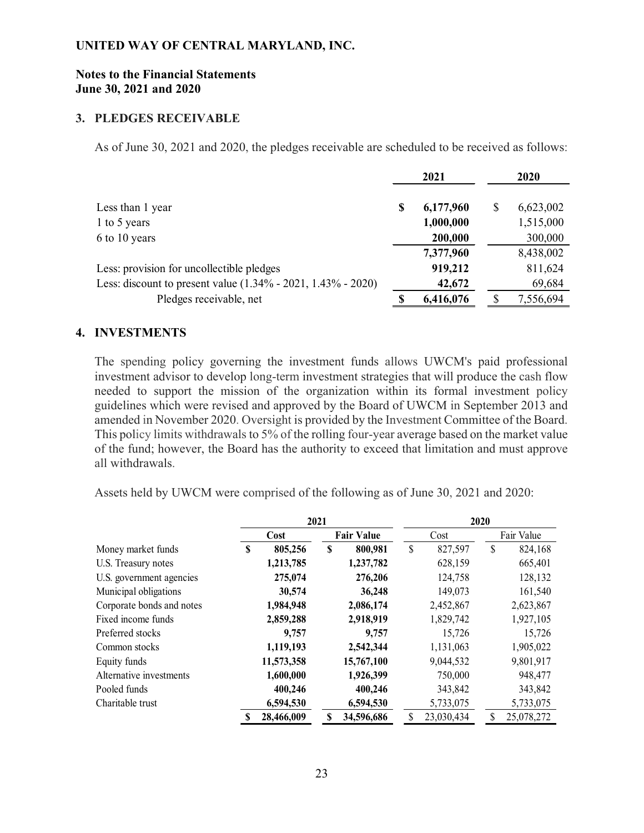### **Notes to the Financial Statements June 30, 2021 and 2020**

### **3. PLEDGES RECEIVABLE**

As of June 30, 2021 and 2020, the pledges receivable are scheduled to be received as follows:

|                                                              | 2021            | <b>2020</b> |           |  |
|--------------------------------------------------------------|-----------------|-------------|-----------|--|
| Less than 1 year                                             | \$<br>6,177,960 | S           | 6,623,002 |  |
| 1 to 5 years                                                 | 1,000,000       |             | 1,515,000 |  |
| 6 to 10 years                                                | 200,000         |             | 300,000   |  |
|                                                              | 7,377,960       |             | 8,438,002 |  |
| Less: provision for uncollectible pledges                    | 919,212         |             | 811,624   |  |
| Less: discount to present value (1.34% - 2021, 1.43% - 2020) | 42,672          |             | 69,684    |  |
| Pledges receivable, net                                      | \$<br>6,416,076 |             | 7,556,694 |  |

## **4. INVESTMENTS**

The spending policy governing the investment funds allows UWCM's paid professional investment advisor to develop long-term investment strategies that will produce the cash flow needed to support the mission of the organization within its formal investment policy guidelines which were revised and approved by the Board of UWCM in September 2013 and amended in November 2020. Oversight is provided by the Investment Committee of the Board. This policy limits withdrawals to 5% of the rolling four-year average based on the market value of the fund; however, the Board has the authority to exceed that limitation and must approve all withdrawals.

Assets held by UWCM were comprised of the following as of June 30, 2021 and 2020:

|                           |   |            | 2021 |                   | 2020 |            |    |            |  |  |
|---------------------------|---|------------|------|-------------------|------|------------|----|------------|--|--|
|                           |   | Cost       |      | <b>Fair Value</b> |      | Cost       |    | Fair Value |  |  |
| Money market funds        |   | 805,256    | S    | 800,981           | \$   | 827,597    | \$ | 824,168    |  |  |
| U.S. Treasury notes       |   | 1,213,785  |      | 1,237,782         |      | 628,159    |    | 665,401    |  |  |
| U.S. government agencies  |   | 275,074    |      | 276,206           |      | 124,758    |    | 128,132    |  |  |
| Municipal obligations     |   | 30,574     |      | 36,248            |      | 149,073    |    | 161,540    |  |  |
| Corporate bonds and notes |   | 1,984,948  |      | 2,086,174         |      | 2,452,867  |    | 2,623,867  |  |  |
| Fixed income funds        |   | 2,859,288  |      | 2,918,919         |      | 1,829,742  |    | 1,927,105  |  |  |
| Preferred stocks          |   | 9,757      |      | 9,757             |      | 15,726     |    | 15,726     |  |  |
| Common stocks             |   | 1,119,193  |      | 2,542,344         |      | 1,131,063  |    | 1,905,022  |  |  |
| Equity funds              |   | 11,573,358 |      | 15,767,100        |      | 9,044,532  |    | 9,801,917  |  |  |
| Alternative investments   |   | 1,600,000  |      | 1,926,399         |      | 750,000    |    | 948,477    |  |  |
| Pooled funds              |   | 400,246    |      | 400,246           |      | 343,842    |    | 343,842    |  |  |
| Charitable trust          |   | 6,594,530  |      | 6,594,530         |      | 5,733,075  |    | 5,733,075  |  |  |
|                           | S | 28,466,009 | S    | 34,596,686        | \$   | 23,030,434 | \$ | 25,078,272 |  |  |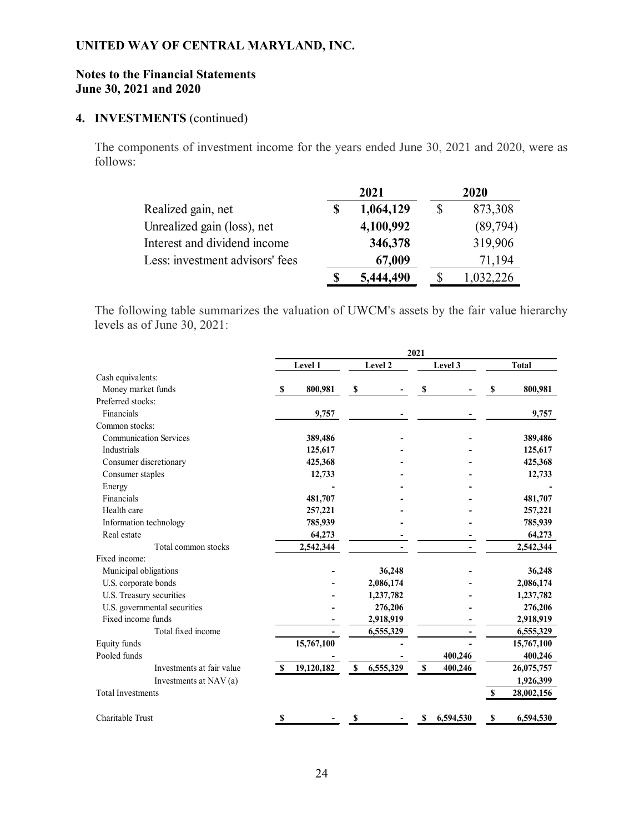### **Notes to the Financial Statements June 30, 2021 and 2020**

# **4. INVESTMENTS** (continued)

The components of investment income for the years ended June 30, 2021 and 2020, were as follows:

|                                 |   | 2021      | 2020      |  |  |  |
|---------------------------------|---|-----------|-----------|--|--|--|
| Realized gain, net              | S | 1,064,129 | 873,308   |  |  |  |
| Unrealized gain (loss), net     |   | 4,100,992 | (89,794)  |  |  |  |
| Interest and dividend income    |   | 346,378   | 319,906   |  |  |  |
| Less: investment advisors' fees |   | 67,009    | 71,194    |  |  |  |
|                                 | S | 5,444,490 | 1,032,226 |  |  |  |

The following table summarizes the valuation of UWCM's assets by the fair value hierarchy levels as of June 30, 2021:

|                               | 2021     |            |    |           |              |           |          |              |  |
|-------------------------------|----------|------------|----|-----------|--------------|-----------|----------|--------------|--|
|                               |          | Level 1    |    | Level 2   |              | Level 3   |          | <b>Total</b> |  |
| Cash equivalents:             |          |            |    |           |              |           |          |              |  |
| Money market funds            | S        | 800,981    | \$ |           | \$           |           | S        | 800,981      |  |
| Preferred stocks:             |          |            |    |           |              |           |          |              |  |
| Financials                    |          | 9,757      |    |           |              |           |          | 9,757        |  |
| Common stocks:                |          |            |    |           |              |           |          |              |  |
| <b>Communication Services</b> |          | 389,486    |    |           |              |           |          | 389,486      |  |
| Industrials                   |          | 125,617    |    |           |              |           |          | 125,617      |  |
| Consumer discretionary        |          | 425,368    |    |           |              |           |          | 425,368      |  |
| Consumer staples              |          | 12,733     |    |           |              |           |          | 12,733       |  |
| Energy                        |          |            |    |           |              |           |          |              |  |
| Financials                    |          | 481,707    |    |           |              |           |          | 481,707      |  |
| Health care                   |          | 257,221    |    |           |              |           |          | 257,221      |  |
| Information technology        |          | 785,939    |    |           |              |           |          | 785,939      |  |
| Real estate                   |          | 64,273     |    |           |              |           |          | 64,273       |  |
| Total common stocks           |          | 2,542,344  |    |           |              |           |          | 2,542,344    |  |
| Fixed income:                 |          |            |    |           |              |           |          |              |  |
| Municipal obligations         |          |            |    | 36,248    |              |           |          | 36,248       |  |
| U.S. corporate bonds          |          |            |    | 2,086,174 |              |           |          | 2,086,174    |  |
| U.S. Treasury securities      |          |            |    | 1,237,782 |              |           |          | 1,237,782    |  |
| U.S. governmental securities  |          |            |    | 276,206   |              |           |          | 276,206      |  |
| Fixed income funds            |          |            |    | 2,918,919 |              |           |          | 2,918,919    |  |
| Total fixed income            |          |            |    | 6,555,329 |              |           |          | 6,555,329    |  |
| Equity funds                  |          | 15,767,100 |    |           |              |           |          | 15,767,100   |  |
| Pooled funds                  |          |            |    |           |              | 400,246   |          | 400,246      |  |
| Investments at fair value     | <b>S</b> | 19,120,182 | \$ | 6,555,329 | $\mathbb{S}$ | 400,246   |          | 26,075,757   |  |
| Investments at $NAV(a)$       |          |            |    |           |              |           |          | 1,926,399    |  |
| <b>Total Investments</b>      |          |            |    |           |              |           | \$       | 28,002,156   |  |
| Charitable Trust              | S        |            | S  |           | S            | 6,594,530 | <b>S</b> | 6,594,530    |  |
|                               |          |            |    |           |              |           |          |              |  |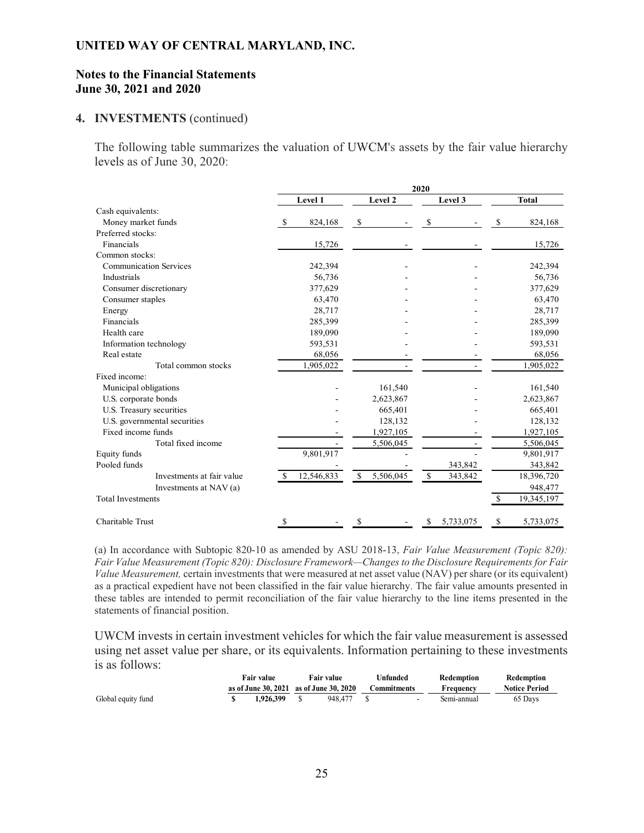#### **Notes to the Financial Statements June 30, 2021 and 2020**

### **4. INVESTMENTS** (continued)

The following table summarizes the valuation of UWCM's assets by the fair value hierarchy levels as of June 30, 2020:

|                               |                  | 2020 |           |               |           |    |              |  |  |
|-------------------------------|------------------|------|-----------|---------------|-----------|----|--------------|--|--|
|                               | Level 1          |      | Level 2   |               | Level 3   |    | <b>Total</b> |  |  |
| Cash equivalents:             |                  |      |           |               |           |    |              |  |  |
| Money market funds            | \$<br>824,168    | \$   |           | \$            |           | \$ | 824,168      |  |  |
| Preferred stocks:             |                  |      |           |               |           |    |              |  |  |
| Financials                    | 15,726           |      |           |               |           |    | 15,726       |  |  |
| Common stocks:                |                  |      |           |               |           |    |              |  |  |
| <b>Communication Services</b> | 242,394          |      |           |               |           |    | 242,394      |  |  |
| Industrials                   | 56,736           |      |           |               |           |    | 56,736       |  |  |
| Consumer discretionary        | 377,629          |      |           |               |           |    | 377,629      |  |  |
| Consumer staples              | 63,470           |      |           |               |           |    | 63,470       |  |  |
| Energy                        | 28,717           |      |           |               |           |    | 28,717       |  |  |
| Financials                    | 285,399          |      |           |               |           |    | 285,399      |  |  |
| Health care                   | 189,090          |      |           |               |           |    | 189,090      |  |  |
| Information technology        | 593,531          |      |           |               |           |    | 593,531      |  |  |
| Real estate                   | 68,056           |      |           |               |           |    | 68,056       |  |  |
| Total common stocks           | 1,905,022        |      |           |               |           |    | 1,905,022    |  |  |
| Fixed income:                 |                  |      |           |               |           |    |              |  |  |
| Municipal obligations         |                  |      | 161,540   |               |           |    | 161,540      |  |  |
| U.S. corporate bonds          |                  |      | 2,623,867 |               |           |    | 2,623,867    |  |  |
| U.S. Treasury securities      |                  |      | 665,401   |               |           |    | 665,401      |  |  |
| U.S. governmental securities  |                  |      | 128,132   |               |           |    | 128,132      |  |  |
| Fixed income funds            |                  |      | 1,927,105 |               |           |    | 1,927,105    |  |  |
| Total fixed income            |                  |      | 5,506,045 |               |           |    | 5,506,045    |  |  |
| Equity funds                  | 9,801,917        |      |           |               |           |    | 9,801,917    |  |  |
| Pooled funds                  |                  |      |           |               | 343,842   |    | 343,842      |  |  |
| Investments at fair value     | \$<br>12,546,833 | \$   | 5,506,045 | <sup>\$</sup> | 343,842   |    | 18,396,720   |  |  |
| Investments at NAV(a)         |                  |      |           |               |           |    | 948,477      |  |  |
| <b>Total Investments</b>      |                  |      |           |               |           | \$ | 19,345,197   |  |  |
|                               |                  |      |           |               |           |    |              |  |  |
| Charitable Trust              | \$               | \$   |           | \$            | 5,733,075 | \$ | 5,733,075    |  |  |

(a) In accordance with Subtopic 820-10 as amended by ASU 2018-13, *Fair Value Measurement (Topic 820): Fair Value Measurement (Topic 820): Disclosure Framework—Changes to the Disclosure Requirements for Fair Value Measurement,* certain investments that were measured at net asset value (NAV) per share (or its equivalent) as a practical expedient have not been classified in the fair value hierarchy. The fair value amounts presented in these tables are intended to permit reconciliation of the fair value hierarchy to the line items presented in the statements of financial position.

UWCM invests in certain investment vehicles for which the fair value measurement is assessed using net asset value per share, or its equivalents. Information pertaining to these investments is as follows:

|                    | <b>Fair value</b>                       | <b>Fair value</b> | Unfunded    | Redemption  | Redemption           |
|--------------------|-----------------------------------------|-------------------|-------------|-------------|----------------------|
|                    | as of June 30, 2021 as of June 30, 2020 |                   | Commitments | Frequency   | <b>Notice Period</b> |
| Global equity fund | 1.926.399                               | 948.477 \$        |             | Semi-annual | 65 Days              |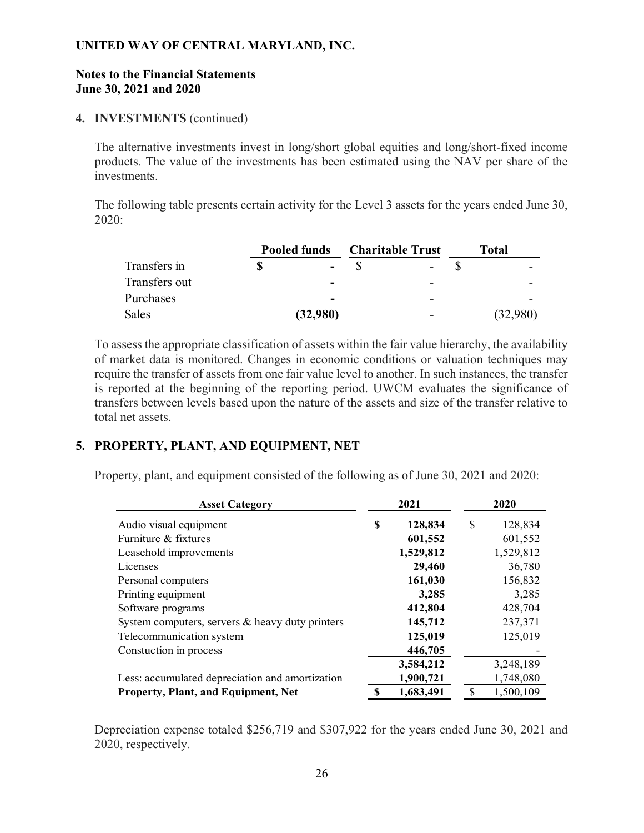### **Notes to the Financial Statements June 30, 2021 and 2020**

### **4. INVESTMENTS** (continued)

The alternative investments invest in long/short global equities and long/short-fixed income products. The value of the investments has been estimated using the NAV per share of the investments.

The following table presents certain activity for the Level 3 assets for the years ended June 30, 2020:

|               | Pooled funds |  | <b>Charitable Trust</b>  | Total    |
|---------------|--------------|--|--------------------------|----------|
| Transfers in  |              |  | $\overline{\phantom{a}}$ |          |
| Transfers out |              |  |                          |          |
| Purchases     | -            |  |                          |          |
| Sales         | (32,980)     |  |                          | (32,980) |

To assess the appropriate classification of assets within the fair value hierarchy, the availability of market data is monitored. Changes in economic conditions or valuation techniques may require the transfer of assets from one fair value level to another. In such instances, the transfer is reported at the beginning of the reporting period. UWCM evaluates the significance of transfers between levels based upon the nature of the assets and size of the transfer relative to total net assets.

# **5. PROPERTY, PLANT, AND EQUIPMENT, NET**

Property, plant, and equipment consisted of the following as of June 30, 2021 and 2020:

| <b>Asset Category</b>                              |   | 2021      | 2020 |           |  |
|----------------------------------------------------|---|-----------|------|-----------|--|
| Audio visual equipment                             | S | 128,834   | \$   | 128,834   |  |
| Furniture & fixtures                               |   | 601,552   |      | 601,552   |  |
| Leasehold improvements                             |   | 1,529,812 |      | 1,529,812 |  |
| Licenses                                           |   | 29,460    |      | 36,780    |  |
| Personal computers                                 |   | 161,030   |      | 156,832   |  |
| Printing equipment                                 |   | 3,285     |      | 3,285     |  |
| Software programs                                  |   | 412,804   |      | 428,704   |  |
| System computers, servers $\&$ heavy duty printers |   | 145,712   |      | 237,371   |  |
| Telecommunication system                           |   | 125,019   |      | 125,019   |  |
| Constuction in process                             |   | 446,705   |      |           |  |
|                                                    |   | 3,584,212 |      | 3,248,189 |  |
| Less: accumulated depreciation and amortization    |   | 1,900,721 |      | 1,748,080 |  |
| <b>Property, Plant, and Equipment, Net</b>         |   | 1,683,491 |      | 1,500,109 |  |

Depreciation expense totaled \$256,719 and \$307,922 for the years ended June 30, 2021 and 2020, respectively.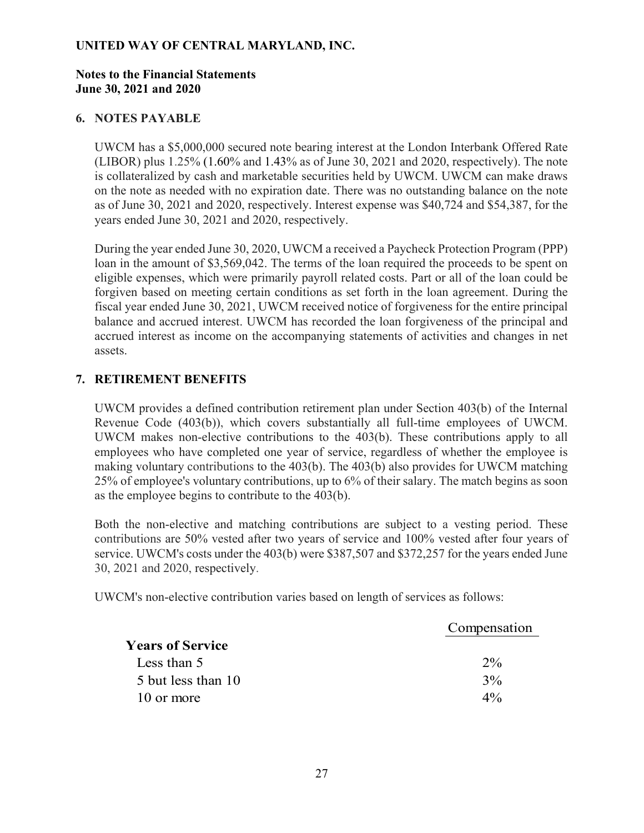### **Notes to the Financial Statements June 30, 2021 and 2020**

### **6. NOTES PAYABLE**

UWCM has a \$5,000,000 secured note bearing interest at the London Interbank Offered Rate (LIBOR) plus 1.25% (1.60% and 1.43% as of June 30, 2021 and 2020, respectively). The note is collateralized by cash and marketable securities held by UWCM. UWCM can make draws on the note as needed with no expiration date. There was no outstanding balance on the note as of June 30, 2021 and 2020, respectively. Interest expense was \$40,724 and \$54,387, for the years ended June 30, 2021 and 2020, respectively.

During the year ended June 30, 2020, UWCM a received a Paycheck Protection Program (PPP) loan in the amount of \$3,569,042. The terms of the loan required the proceeds to be spent on eligible expenses, which were primarily payroll related costs. Part or all of the loan could be forgiven based on meeting certain conditions as set forth in the loan agreement. During the fiscal year ended June 30, 2021, UWCM received notice of forgiveness for the entire principal balance and accrued interest. UWCM has recorded the loan forgiveness of the principal and accrued interest as income on the accompanying statements of activities and changes in net assets.

### **7. RETIREMENT BENEFITS**

UWCM provides a defined contribution retirement plan under Section 403(b) of the Internal Revenue Code (403(b)), which covers substantially all full-time employees of UWCM. UWCM makes non-elective contributions to the 403(b). These contributions apply to all employees who have completed one year of service, regardless of whether the employee is making voluntary contributions to the 403(b). The 403(b) also provides for UWCM matching 25% of employee's voluntary contributions, up to 6% of their salary. The match begins as soon as the employee begins to contribute to the 403(b).

Both the non-elective and matching contributions are subject to a vesting period. These contributions are 50% vested after two years of service and 100% vested after four years of service. UWCM's costs under the 403(b) were \$387,507 and \$372,257 for the years ended June 30, 2021 and 2020, respectively.

UWCM's non-elective contribution varies based on length of services as follows:

|                         | Compensation |
|-------------------------|--------------|
| <b>Years of Service</b> |              |
| Less than 5             | $2\%$        |
| 5 but less than 10      | 3%           |
| 10 or more              | $4\%$        |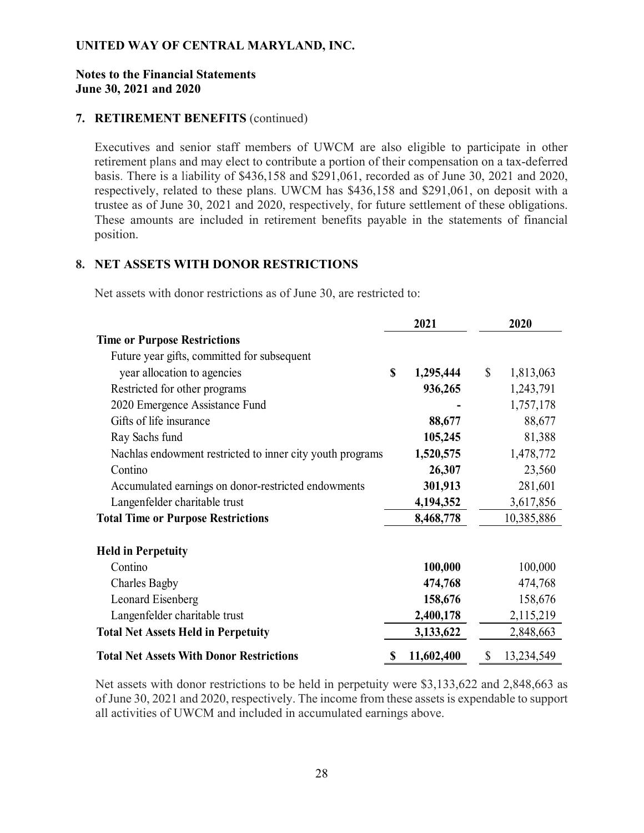### **Notes to the Financial Statements June 30, 2021 and 2020**

### **7. RETIREMENT BENEFITS** (continued)

Executives and senior staff members of UWCM are also eligible to participate in other retirement plans and may elect to contribute a portion of their compensation on a tax-deferred basis. There is a liability of \$436,158 and \$291,061, recorded as of June 30, 2021 and 2020, respectively, related to these plans. UWCM has \$436,158 and \$291,061, on deposit with a trustee as of June 30, 2021 and 2020, respectively, for future settlement of these obligations. These amounts are included in retirement benefits payable in the statements of financial position.

# **8. NET ASSETS WITH DONOR RESTRICTIONS**

Net assets with donor restrictions as of June 30, are restricted to:

|                                                           | 2021 |            |              | 2020       |
|-----------------------------------------------------------|------|------------|--------------|------------|
| <b>Time or Purpose Restrictions</b>                       |      |            |              |            |
| Future year gifts, committed for subsequent               |      |            |              |            |
| year allocation to agencies                               | \$   | 1,295,444  | $\mathbb{S}$ | 1,813,063  |
| Restricted for other programs                             |      | 936,265    |              | 1,243,791  |
| 2020 Emergence Assistance Fund                            |      |            |              | 1,757,178  |
| Gifts of life insurance                                   |      | 88,677     |              | 88,677     |
| Ray Sachs fund                                            |      | 105,245    |              | 81,388     |
| Nachlas endowment restricted to inner city youth programs |      | 1,520,575  |              | 1,478,772  |
| Contino                                                   |      | 26,307     |              | 23,560     |
| Accumulated earnings on donor-restricted endowments       |      | 301,913    |              | 281,601    |
| Langenfelder charitable trust                             |      | 4,194,352  |              | 3,617,856  |
| <b>Total Time or Purpose Restrictions</b>                 |      | 8,468,778  |              | 10,385,886 |
| <b>Held in Perpetuity</b>                                 |      |            |              |            |
| Contino                                                   |      | 100,000    |              | 100,000    |
| <b>Charles Bagby</b>                                      |      | 474,768    |              | 474,768    |
| Leonard Eisenberg                                         |      | 158,676    |              | 158,676    |
| Langenfelder charitable trust                             |      | 2,400,178  |              | 2,115,219  |
| <b>Total Net Assets Held in Perpetuity</b>                |      | 3,133,622  |              | 2,848,663  |
| <b>Total Net Assets With Donor Restrictions</b>           | \$   | 11,602,400 | \$           | 13,234,549 |

Net assets with donor restrictions to be held in perpetuity were \$3,133,622 and 2,848,663 as of June 30, 2021 and 2020, respectively. The income from these assets is expendable to support all activities of UWCM and included in accumulated earnings above.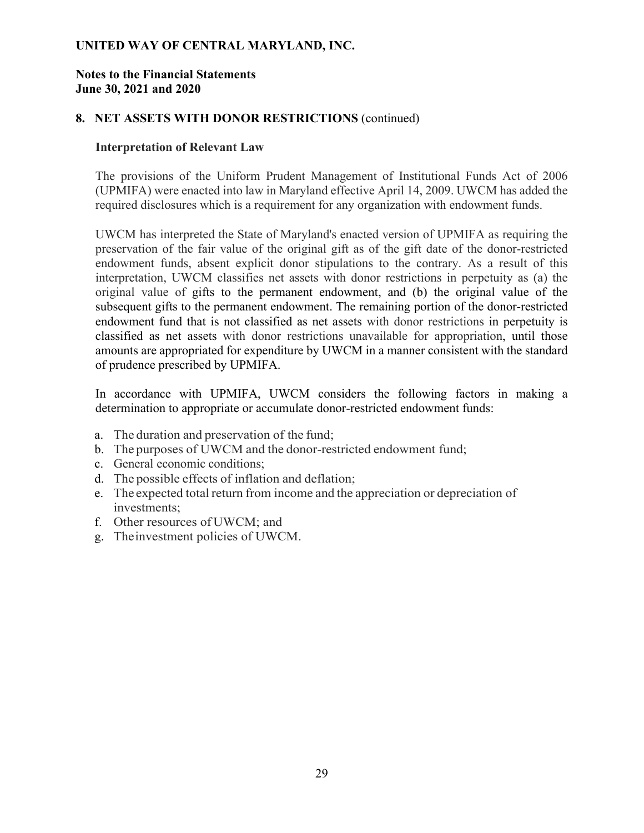### **Notes to the Financial Statements June 30, 2021 and 2020**

## **8. NET ASSETS WITH DONOR RESTRICTIONS** (continued)

## **Interpretation of Relevant Law**

The provisions of the Uniform Prudent Management of Institutional Funds Act of 2006 (UPMIFA) were enacted into law in Maryland effective April 14, 2009. UWCM has added the required disclosures which is a requirement for any organization with endowment funds.

UWCM has interpreted the State of Maryland's enacted version of UPMIFA as requiring the preservation of the fair value of the original gift as of the gift date of the donor-restricted endowment funds, absent explicit donor stipulations to the contrary. As a result of this interpretation, UWCM classifies net assets with donor restrictions in perpetuity as (a) the original value of gifts to the permanent endowment, and (b) the original value of the subsequent gifts to the permanent endowment. The remaining portion of the donor-restricted endowment fund that is not classified as net assets with donor restrictions in perpetuity is classified as net assets with donor restrictions unavailable for appropriation, until those amounts are appropriated for expenditure by UWCM in a manner consistent with the standard of prudence prescribed by UPMIFA.

In accordance with UPMIFA, UWCM considers the following factors in making a determination to appropriate or accumulate donor-restricted endowment funds:

- a. The duration and preservation of the fund;
- b. The purposes of UWCM and the donor-restricted endowment fund;
- c. General economic conditions;
- d. The possible effects of inflation and deflation;
- e. The expected total return from income and the appreciation or depreciation of investments;
- f. Other resources of UWCM; and
- g. Theinvestment policies of UWCM.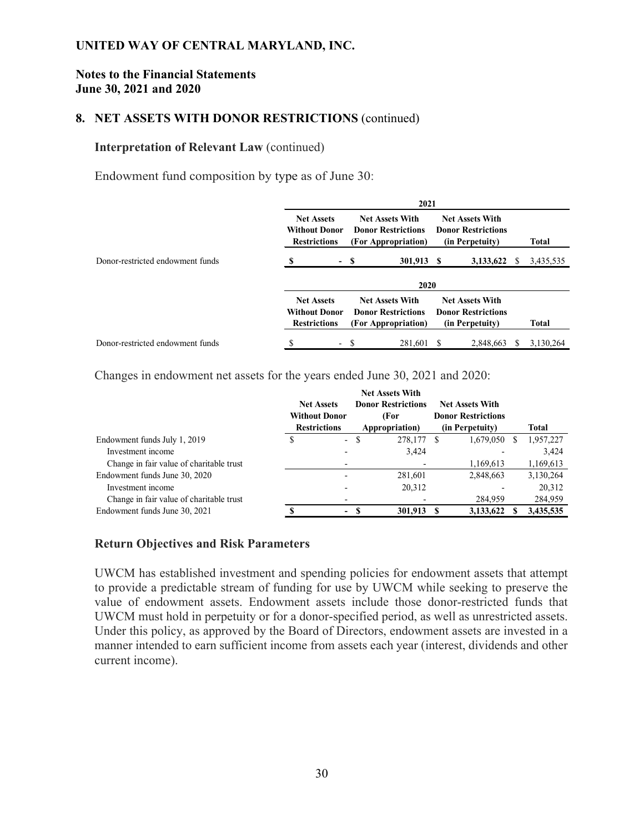### **Notes to the Financial Statements June 30, 2021 and 2020**

### **8. NET ASSETS WITH DONOR RESTRICTIONS** (continued)

**Interpretation of Relevant Law** (continued)

Endowment fund composition by type as of June 30:

|                                  | 2021                                                             |                                                                            |                                                                        |              |  |  |  |  |  |
|----------------------------------|------------------------------------------------------------------|----------------------------------------------------------------------------|------------------------------------------------------------------------|--------------|--|--|--|--|--|
|                                  | <b>Net Assets</b><br><b>Without Donor</b><br><b>Restrictions</b> | <b>Net Assets With</b><br><b>Donor Restrictions</b><br>(For Appropriation) | <b>Net Assets With</b><br><b>Donor Restrictions</b><br>(in Perpetuity) | Total        |  |  |  |  |  |
| Donor-restricted endowment funds |                                                                  | $-$ \$<br>301,913 \$                                                       | 3,133,622                                                              | 3,435,535    |  |  |  |  |  |
|                                  |                                                                  | 2020                                                                       |                                                                        |              |  |  |  |  |  |
|                                  | <b>Net Assets</b><br><b>Without Donor</b><br><b>Restrictions</b> | <b>Net Assets With</b><br><b>Donor Restrictions</b><br>(For Appropriation) | <b>Net Assets With</b><br><b>Donor Restrictions</b><br>(in Perpetuity) | <b>Total</b> |  |  |  |  |  |
| Donor-restricted endowment funds | \$<br>$\overline{\phantom{0}}$                                   | S<br>281,601                                                               | 2,848,663<br>S                                                         | 3.130.264    |  |  |  |  |  |

Changes in endowment net assets for the years ended June 30, 2021 and 2020:

|                                          |   |                                           |    | <b>Net Assets With</b>            |                                                     |   |           |
|------------------------------------------|---|-------------------------------------------|----|-----------------------------------|-----------------------------------------------------|---|-----------|
|                                          |   | <b>Net Assets</b><br><b>Without Donor</b> |    | <b>Donor Restrictions</b><br>(For | <b>Net Assets With</b><br><b>Donor Restrictions</b> |   |           |
|                                          |   | <b>Restrictions</b>                       |    | Appropriation)                    | (in Perpetuity)                                     |   | Total     |
| Endowment funds July 1, 2019             | J | $\mathcal{L}^{\pm}$                       | S  | 278,177                           | 1,679,050                                           | S | 1,957,227 |
| Investment income                        |   |                                           |    | 3,424                             |                                                     |   | 3,424     |
| Change in fair value of charitable trust |   |                                           |    |                                   | 1,169,613                                           |   | 1,169,613 |
| Endowment funds June 30, 2020            |   |                                           |    | 281,601                           | 2,848,663                                           |   | 3,130,264 |
| Investment income                        |   |                                           |    | 20,312                            |                                                     |   | 20,312    |
| Change in fair value of charitable trust |   |                                           |    |                                   | 284,959                                             |   | 284,959   |
| Endowment funds June 30, 2021            |   | $\sim$                                    | -8 | 301,913                           | 3,133,622                                           |   | 3,435,535 |

### **Return Objectives and Risk Parameters**

UWCM has established investment and spending policies for endowment assets that attempt to provide a predictable stream of funding for use by UWCM while seeking to preserve the value of endowment assets. Endowment assets include those donor-restricted funds that UWCM must hold in perpetuity or for a donor-specified period, as well as unrestricted assets. Under this policy, as approved by the Board of Directors, endowment assets are invested in a manner intended to earn sufficient income from assets each year (interest, dividends and other current income).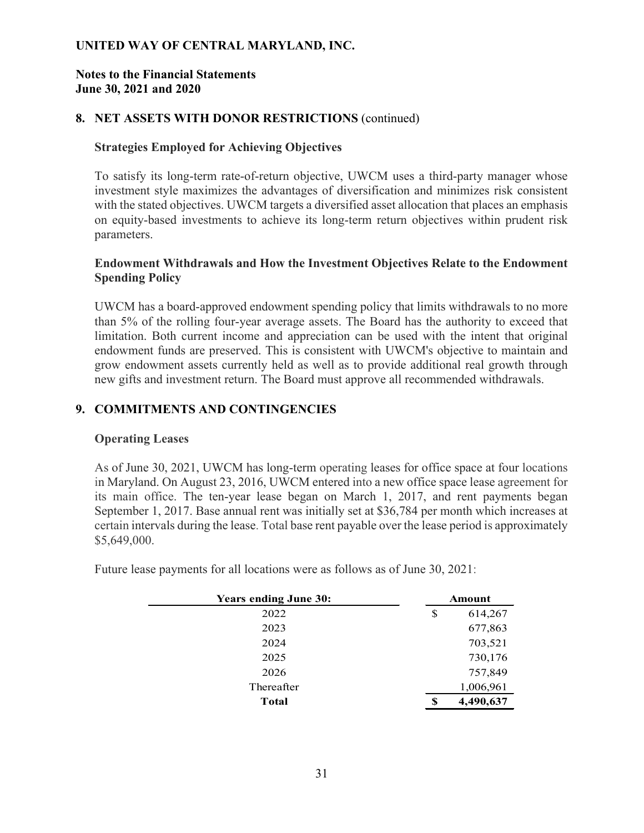### **Notes to the Financial Statements June 30, 2021 and 2020**

# **8. NET ASSETS WITH DONOR RESTRICTIONS** (continued)

### **Strategies Employed for Achieving Objectives**

To satisfy its long-term rate-of-return objective, UWCM uses a third-party manager whose investment style maximizes the advantages of diversification and minimizes risk consistent with the stated objectives. UWCM targets a diversified asset allocation that places an emphasis on equity-based investments to achieve its long-term return objectives within prudent risk parameters.

## **Endowment Withdrawals and How the Investment Objectives Relate to the Endowment Spending Policy**

UWCM has a board-approved endowment spending policy that limits withdrawals to no more than 5% of the rolling four-year average assets. The Board has the authority to exceed that limitation. Both current income and appreciation can be used with the intent that original endowment funds are preserved. This is consistent with UWCM's objective to maintain and grow endowment assets currently held as well as to provide additional real growth through new gifts and investment return. The Board must approve all recommended withdrawals.

### **9. COMMITMENTS AND CONTINGENCIES**

### **Operating Leases**

As of June 30, 2021, UWCM has long-term operating leases for office space at four locations in Maryland. On August 23, 2016, UWCM entered into a new office space lease agreement for its main office. The ten-year lease began on March 1, 2017, and rent payments began September 1, 2017. Base annual rent was initially set at \$36,784 per month which increases at certain intervals during the lease. Total base rent payable over the lease period is approximately \$5,649,000.

Future lease payments for all locations were as follows as of June 30, 2021:

| Amount |           |  |
|--------|-----------|--|
| \$     | 614,267   |  |
|        | 677,863   |  |
|        | 703,521   |  |
|        | 730,176   |  |
|        | 757,849   |  |
|        | 1,006,961 |  |
| S      | 4,490,637 |  |
|        |           |  |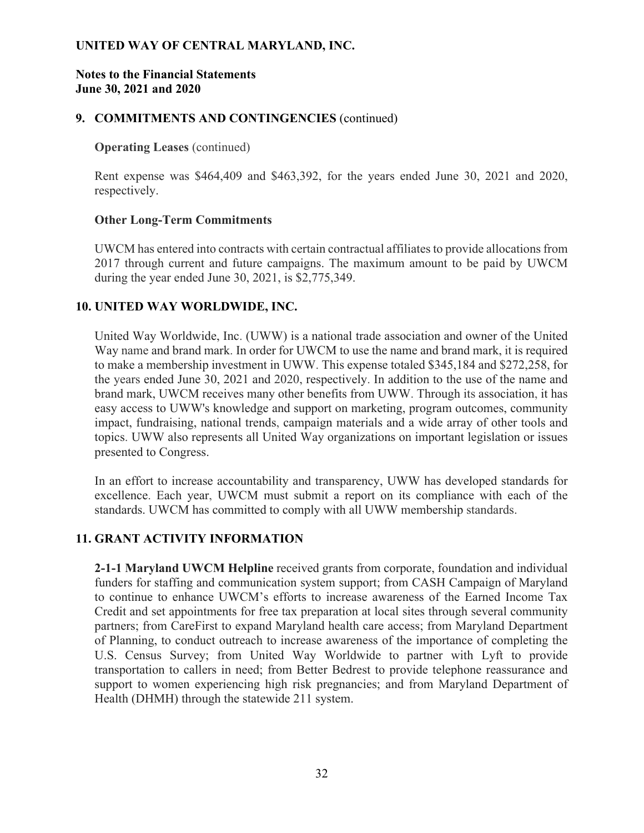### **Notes to the Financial Statements June 30, 2021 and 2020**

## **9. COMMITMENTS AND CONTINGENCIES** (continued)

### **Operating Leases** (continued)

Rent expense was \$464,409 and \$463,392, for the years ended June 30, 2021 and 2020, respectively.

# **Other Long-Term Commitments**

UWCM has entered into contracts with certain contractual affiliates to provide allocations from 2017 through current and future campaigns. The maximum amount to be paid by UWCM during the year ended June 30, 2021, is \$2,775,349.

# **10. UNITED WAY WORLDWIDE, INC.**

United Way Worldwide, Inc. (UWW) is a national trade association and owner of the United Way name and brand mark. In order for UWCM to use the name and brand mark, it is required to make a membership investment in UWW. This expense totaled \$345,184 and \$272,258, for the years ended June 30, 2021 and 2020, respectively. In addition to the use of the name and brand mark, UWCM receives many other benefits from UWW. Through its association, it has easy access to UWW's knowledge and support on marketing, program outcomes, community impact, fundraising, national trends, campaign materials and a wide array of other tools and topics. UWW also represents all United Way organizations on important legislation or issues presented to Congress.

In an effort to increase accountability and transparency, UWW has developed standards for excellence. Each year, UWCM must submit a report on its compliance with each of the standards. UWCM has committed to comply with all UWW membership standards.

# **11. GRANT ACTIVITY INFORMATION**

**2-1-1 Maryland UWCM Helpline** received grants from corporate, foundation and individual funders for staffing and communication system support; from CASH Campaign of Maryland to continue to enhance UWCM's efforts to increase awareness of the Earned Income Tax Credit and set appointments for free tax preparation at local sites through several community partners; from CareFirst to expand Maryland health care access; from Maryland Department of Planning, to conduct outreach to increase awareness of the importance of completing the U.S. Census Survey; from United Way Worldwide to partner with Lyft to provide transportation to callers in need; from Better Bedrest to provide telephone reassurance and support to women experiencing high risk pregnancies; and from Maryland Department of Health (DHMH) through the statewide 211 system.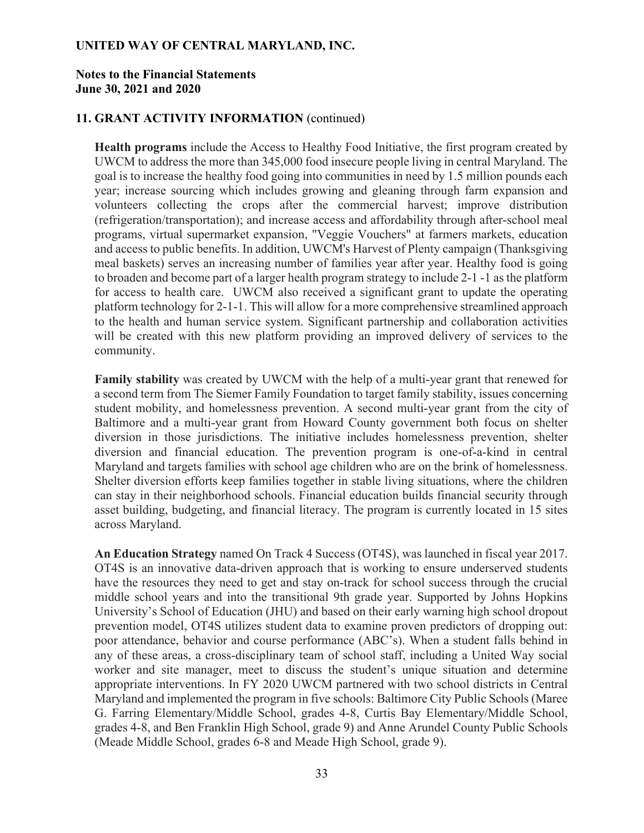#### **Notes to the Financial Statements June 30, 2021 and 2020**

### **11. GRANT ACTIVITY INFORMATION** (continued)

**Health programs** include the Access to Healthy Food Initiative, the first program created by UWCM to address the more than 345,000 food insecure people living in central Maryland. The goal is to increase the healthy food going into communities in need by 1.5 million pounds each year; increase sourcing which includes growing and gleaning through farm expansion and volunteers collecting the crops after the commercial harvest; improve distribution (refrigeration/transportation); and increase access and affordability through after-school meal programs, virtual supermarket expansion, "Veggie Vouchers" at farmers markets, education and access to public benefits. In addition, UWCM's Harvest of Plenty campaign (Thanksgiving meal baskets) serves an increasing number of families year after year. Healthy food is going to broaden and become part of a larger health program strategy to include 2-1 -1 as the platform for access to health care. UWCM also received a significant grant to update the operating platform technology for 2-1-1. This will allow for a more comprehensive streamlined approach to the health and human service system. Significant partnership and collaboration activities will be created with this new platform providing an improved delivery of services to the community.

**Family stability** was created by UWCM with the help of a multi-year grant that renewed for a second term from The Siemer Family Foundation to target family stability, issues concerning student mobility, and homelessness prevention. A second multi-year grant from the city of Baltimore and a multi-year grant from Howard County government both focus on shelter diversion in those jurisdictions. The initiative includes homelessness prevention, shelter diversion and financial education. The prevention program is one-of-a-kind in central Maryland and targets families with school age children who are on the brink of homelessness. Shelter diversion efforts keep families together in stable living situations, where the children can stay in their neighborhood schools. Financial education builds financial security through asset building, budgeting, and financial literacy. The program is currently located in 15 sites across Maryland.

**An Education Strategy** named On Track 4 Success (OT4S), was launched in fiscal year 2017. OT4S is an innovative data-driven approach that is working to ensure underserved students have the resources they need to get and stay on-track for school success through the crucial middle school years and into the transitional 9th grade year. Supported by Johns Hopkins University's School of Education (JHU) and based on their early warning high school dropout prevention model, OT4S utilizes student data to examine proven predictors of dropping out: poor attendance, behavior and course performance (ABC's). When a student falls behind in any of these areas, a cross-disciplinary team of school staff, including a United Way social worker and site manager, meet to discuss the student's unique situation and determine appropriate interventions. In FY 2020 UWCM partnered with two school districts in Central Maryland and implemented the program in five schools: Baltimore City Public Schools (Maree G. Farring Elementary/Middle School, grades 4-8, Curtis Bay Elementary/Middle School, grades 4-8, and Ben Franklin High School, grade 9) and Anne Arundel County Public Schools (Meade Middle School, grades 6-8 and Meade High School, grade 9).